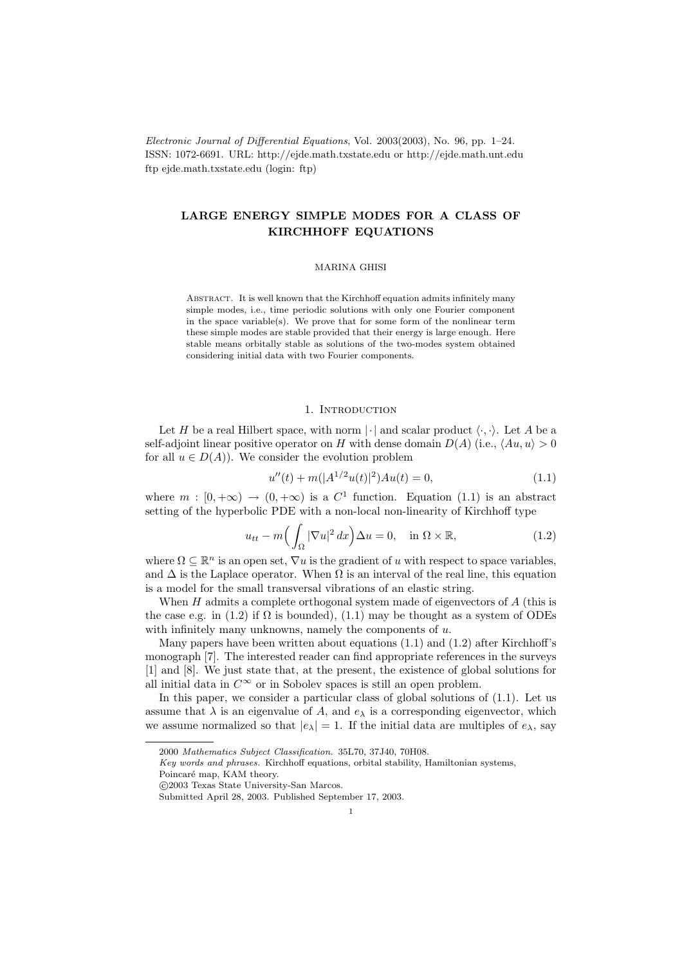Electronic Journal of Differential Equations, Vol. 2003(2003), No. 96, pp. 1–24. ISSN: 1072-6691. URL: http://ejde.math.txstate.edu or http://ejde.math.unt.edu ftp ejde.math.txstate.edu (login: ftp)

# LARGE ENERGY SIMPLE MODES FOR A CLASS OF KIRCHHOFF EQUATIONS

### MARINA GHISI

Abstract. It is well known that the Kirchhoff equation admits infinitely many simple modes, i.e., time periodic solutions with only one Fourier component in the space variable(s). We prove that for some form of the nonlinear term these simple modes are stable provided that their energy is large enough. Here stable means orbitally stable as solutions of the two-modes system obtained considering initial data with two Fourier components.

# 1. INTRODUCTION

Let H be a real Hilbert space, with norm  $|\cdot|$  and scalar product  $\langle \cdot, \cdot \rangle$ . Let A be a self-adjoint linear positive operator on H with dense domain  $D(A)$  (i.e.,  $\langle Au, u \rangle > 0$ for all  $u \in D(A)$ . We consider the evolution problem

$$
u''(t) + m(|A^{1/2}u(t)|^2)Au(t) = 0,
$$
\n(1.1)

where  $m : [0, +\infty) \to (0, +\infty)$  is a  $C^1$  function. Equation (1.1) is an abstract setting of the hyperbolic PDE with a non-local non-linearity of Kirchhoff type

$$
u_{tt} - m\Big(\int_{\Omega} |\nabla u|^2 dx\Big)\Delta u = 0, \quad \text{in } \Omega \times \mathbb{R}, \tag{1.2}
$$

where  $\Omega \subseteq \mathbb{R}^n$  is an open set,  $\nabla u$  is the gradient of u with respect to space variables, and  $\Delta$  is the Laplace operator. When  $\Omega$  is an interval of the real line, this equation is a model for the small transversal vibrations of an elastic string.

When  $H$  admits a complete orthogonal system made of eigenvectors of  $A$  (this is the case e.g. in (1.2) if  $\Omega$  is bounded), (1.1) may be thought as a system of ODEs with infinitely many unknowns, namely the components of  $u$ .

Many papers have been written about equations (1.1) and (1.2) after Kirchhoff's monograph [7]. The interested reader can find appropriate references in the surveys [1] and [8]. We just state that, at the present, the existence of global solutions for all initial data in  $C^{\infty}$  or in Sobolev spaces is still an open problem.

In this paper, we consider a particular class of global solutions of (1.1). Let us assume that  $\lambda$  is an eigenvalue of A, and  $e_{\lambda}$  is a corresponding eigenvector, which we assume normalized so that  $|e_\lambda| = 1$ . If the initial data are multiples of  $e_\lambda$ , say

Poincaré map, KAM theory.

<sup>2000</sup> Mathematics Subject Classification. 35L70, 37J40, 70H08.

Key words and phrases. Kirchhoff equations, orbital stability, Hamiltonian systems,

c 2003 Texas State University-San Marcos.

Submitted April 28, 2003. Published September 17, 2003.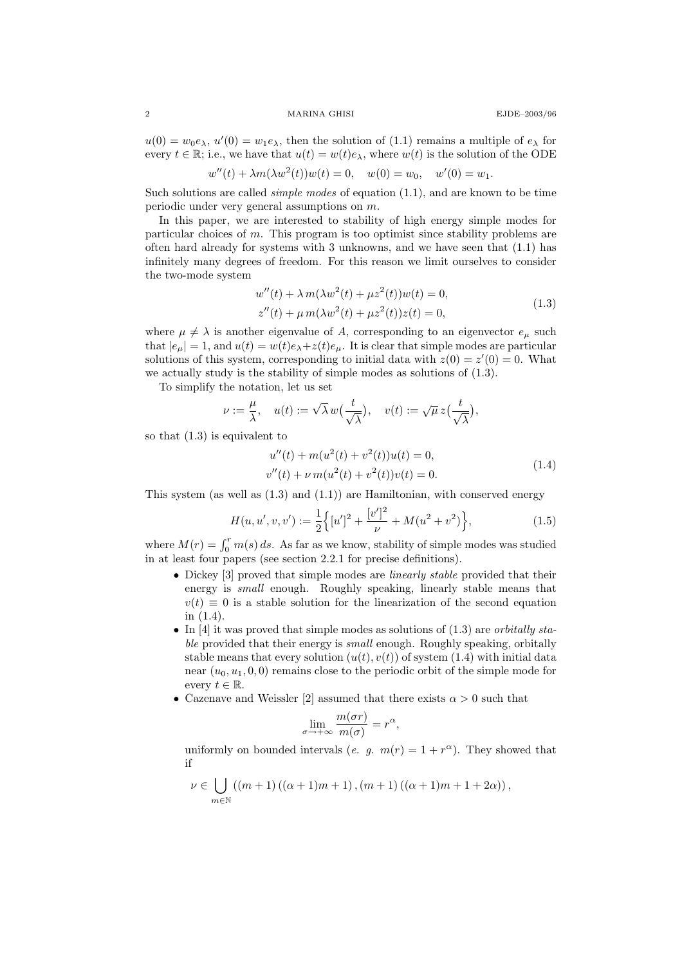## 2 MARINA GHISI EJDE–2003/96

 $u(0) = w_0 e_\lambda, u'(0) = w_1 e_\lambda$ , then the solution of (1.1) remains a multiple of  $e_\lambda$  for every  $t \in \mathbb{R}$ ; i.e., we have that  $u(t) = w(t)e_{\lambda}$ , where  $w(t)$  is the solution of the ODE

$$
w''(t) + \lambda m(\lambda w^2(t))w(t) = 0, \quad w(0) = w_0, \quad w'(0) = w_1.
$$

Such solutions are called *simple modes* of equation (1.1), and are known to be time periodic under very general assumptions on m.

In this paper, we are interested to stability of high energy simple modes for particular choices of m. This program is too optimist since stability problems are often hard already for systems with 3 unknowns, and we have seen that (1.1) has infinitely many degrees of freedom. For this reason we limit ourselves to consider the two-mode system

$$
w''(t) + \lambda m(\lambda w^{2}(t) + \mu z^{2}(t))w(t) = 0,
$$
  
\n
$$
z''(t) + \mu m(\lambda w^{2}(t) + \mu z^{2}(t))z(t) = 0,
$$
\n(1.3)

where  $\mu \neq \lambda$  is another eigenvalue of A, corresponding to an eigenvector  $e_{\mu}$  such that  $|e_{\mu}| = 1$ , and  $u(t) = w(t)e_{\lambda} + z(t)e_{\mu}$ . It is clear that simple modes are particular solutions of this system, corresponding to initial data with  $z(0) = z'(0) = 0$ . What we actually study is the stability of simple modes as solutions of (1.3).

To simplify the notation, let us set

$$
\nu := \frac{\mu}{\lambda}, \quad u(t) := \sqrt{\lambda} w\left(\frac{t}{\sqrt{\lambda}}\right), \quad v(t) := \sqrt{\mu} z\left(\frac{t}{\sqrt{\lambda}}\right),
$$

so that (1.3) is equivalent to

$$
u''(t) + m(u^{2}(t) + v^{2}(t))u(t) = 0,
$$
  
\n
$$
v''(t) + \nu m(u^{2}(t) + v^{2}(t))v(t) = 0.
$$
\n(1.4)

This system (as well as  $(1.3)$  and  $(1.1)$ ) are Hamiltonian, with conserved energy

$$
H(u, u', v, v') := \frac{1}{2} \Big\{ [u']^2 + \frac{[v']^2}{\nu} + M(u^2 + v^2) \Big\},\tag{1.5}
$$

where  $M(r) = \int_0^r m(s) ds$ . As far as we know, stability of simple modes was studied in at least four papers (see section 2.2.1 for precise definitions).

- Dickey [3] proved that simple modes are *linearly stable* provided that their energy is small enough. Roughly speaking, linearly stable means that  $v(t) \equiv 0$  is a stable solution for the linearization of the second equation in (1.4).
- In [4] it was proved that simple modes as solutions of  $(1.3)$  are *orbitally sta*ble provided that their energy is *small* enough. Roughly speaking, orbitally stable means that every solution  $(u(t), v(t))$  of system (1.4) with initial data near  $(u_0, u_1, 0, 0)$  remains close to the periodic orbit of the simple mode for every  $t \in \mathbb{R}$ .
- Cazenave and Weissler [2] assumed that there exists  $\alpha > 0$  such that

$$
\lim_{\sigma \to +\infty} \frac{m(\sigma r)}{m(\sigma)} = r^{\alpha},
$$

uniformly on bounded intervals (e. g.  $m(r) = 1 + r^{\alpha}$ ). They showed that if

$$
\nu \in \bigcup_{m \in \mathbb{N}} ((m+1)((\alpha+1)m+1), (m+1)((\alpha+1)m+1+2\alpha)),
$$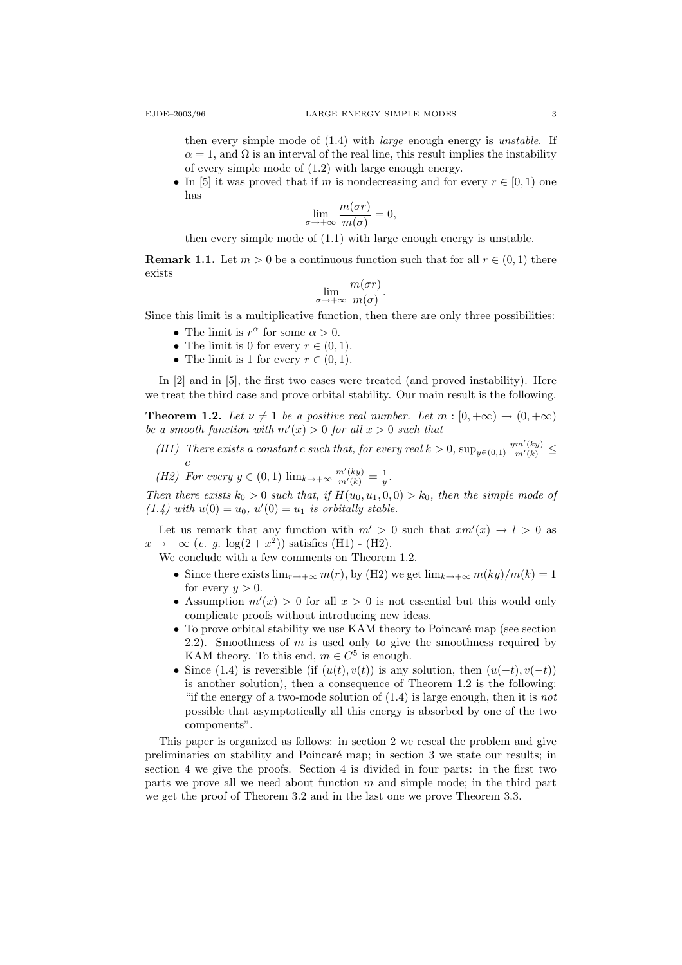then every simple mode of (1.4) with large enough energy is unstable. If  $\alpha = 1$ , and  $\Omega$  is an interval of the real line, this result implies the instability of every simple mode of (1.2) with large enough energy.

• In [5] it was proved that if m is nondecreasing and for every  $r \in [0,1)$  one has

$$
\lim_{\sigma \to +\infty} \frac{m(\sigma r)}{m(\sigma)} = 0,
$$

then every simple mode of (1.1) with large enough energy is unstable.

**Remark 1.1.** Let  $m > 0$  be a continuous function such that for all  $r \in (0, 1)$  there exists

$$
\lim_{\sigma \to +\infty} \frac{m(\sigma r)}{m(\sigma)}.
$$

Since this limit is a multiplicative function, then there are only three possibilities:

- The limit is  $r^{\alpha}$  for some  $\alpha > 0$ .
- The limit is 0 for every  $r \in (0,1)$ .
- The limit is 1 for every  $r \in (0,1)$ .

In [2] and in [5], the first two cases were treated (and proved instability). Here we treat the third case and prove orbital stability. Our main result is the following.

**Theorem 1.2.** Let  $\nu \neq 1$  be a positive real number. Let  $m : [0, +\infty) \to (0, +\infty)$ be a smooth function with  $m'(x) > 0$  for all  $x > 0$  such that

(H1) There exists a constant c such that, for every real  $k > 0$ ,  $\sup_{y \in (0,1)} \frac{ym'(ky)}{m'(k)} \leq$  $\mathfrak{c}$ 

(H2) For every  $y \in (0,1)$   $\lim_{k \to +\infty} \frac{m'(ky)}{m'(k)} = \frac{1}{y}$ .

Then there exists  $k_0 > 0$  such that, if  $H(u_0, u_1, 0, 0) > k_0$ , then the simple mode of  $(1.4)$  with  $u(0) = u_0$ ,  $u'(0) = u_1$  is orbitally stable.

Let us remark that any function with  $m' > 0$  such that  $xm'(x) \to l > 0$  as  $x \to +\infty$  (e. g.  $\log(2+x^2)$ ) satisfies (H1) - (H2).

We conclude with a few comments on Theorem 1.2.

- Since there exists  $\lim_{r\to+\infty} m(r)$ , by (H2) we get  $\lim_{k\to+\infty} m(ky)/m(k) = 1$ for every  $y > 0$ .
- Assumption  $m'(x) > 0$  for all  $x > 0$  is not essential but this would only complicate proofs without introducing new ideas.
- $\bullet$  To prove orbital stability we use KAM theory to Poincaré map (see section 2.2). Smoothness of  $m$  is used only to give the smoothness required by KAM theory. To this end,  $m \in C^5$  is enough.
- Since (1.4) is reversible (if  $(u(t), v(t))$  is any solution, then  $(u(-t), v(-t))$ is another solution), then a consequence of Theorem 1.2 is the following: "if the energy of a two-mode solution of  $(1.4)$  is large enough, then it is not possible that asymptotically all this energy is absorbed by one of the two components".

This paper is organized as follows: in section 2 we rescal the problem and give preliminaries on stability and Poincar´e map; in section 3 we state our results; in section 4 we give the proofs. Section 4 is divided in four parts: in the first two parts we prove all we need about function m and simple mode; in the third part we get the proof of Theorem 3.2 and in the last one we prove Theorem 3.3.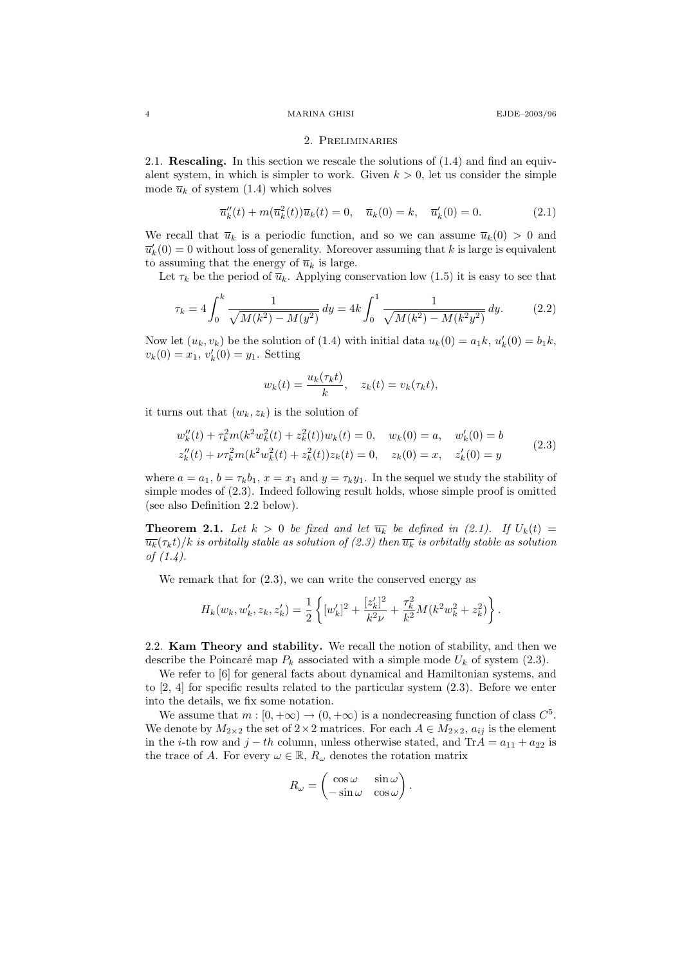### 4 MARINA GHISI EJDE–2003/96

#### 2. Preliminaries

2.1. Rescaling. In this section we rescale the solutions of (1.4) and find an equivalent system, in which is simpler to work. Given  $k > 0$ , let us consider the simple mode  $\overline{u}_k$  of system (1.4) which solves

$$
\overline{u}_k''(t) + m(\overline{u}_k^2(t))\overline{u}_k(t) = 0, \quad \overline{u}_k(0) = k, \quad \overline{u}_k'(0) = 0.
$$
 (2.1)

We recall that  $\overline{u}_k$  is a periodic function, and so we can assume  $\overline{u}_k(0) > 0$  and  $\overline{u}'_k(0) = 0$  without loss of generality. Moreover assuming that k is large is equivalent to assuming that the energy of  $\overline{u}_k$  is large.

Let  $\tau_k$  be the period of  $\overline{u}_k$ . Applying conservation low (1.5) it is easy to see that

$$
\tau_k = 4 \int_0^k \frac{1}{\sqrt{M(k^2) - M(y^2)}} dy = 4k \int_0^1 \frac{1}{\sqrt{M(k^2) - M(k^2 y^2)}} dy. \tag{2.2}
$$

Now let  $(u_k, v_k)$  be the solution of (1.4) with initial data  $u_k(0) = a_1 k$ ,  $u'_k(0) = b_1 k$ ,  $v_k(0) = x_1, v'_k(0) = y_1.$  Setting

$$
w_k(t) = \frac{u_k(\tau_k t)}{k}, \quad z_k(t) = v_k(\tau_k t),
$$

it turns out that  $(w_k, z_k)$  is the solution of

$$
w_k''(t) + \tau_k^2 m(k^2 w_k^2(t) + z_k^2(t))w_k(t) = 0, \quad w_k(0) = a, \quad w'_k(0) = b
$$
  
\n
$$
z_k''(t) + \nu \tau_k^2 m(k^2 w_k^2(t) + z_k^2(t))z_k(t) = 0, \quad z_k(0) = x, \quad z'_k(0) = y
$$
\n(2.3)

where  $a = a_1$ ,  $b = \tau_k b_1$ ,  $x = x_1$  and  $y = \tau_k y_1$ . In the sequel we study the stability of simple modes of (2.3). Indeed following result holds, whose simple proof is omitted (see also Definition 2.2 below).

**Theorem 2.1.** Let  $k > 0$  be fixed and let  $\overline{u_k}$  be defined in (2.1). If  $U_k(t) =$  $\overline{u_k}(\tau_k t)/k$  is orbitally stable as solution of (2.3) then  $\overline{u_k}$  is orbitally stable as solution of (1.4).

We remark that for  $(2.3)$ , we can write the conserved energy as

$$
H_k(w_k, w'_k, z_k, z'_k) = \frac{1}{2} \left\{ [w'_k]^2 + \frac{[z'_k]^2}{k^2 \nu} + \frac{\tau_k^2}{k^2} M(k^2 w_k^2 + z_k^2) \right\}.
$$

2.2. Kam Theory and stability. We recall the notion of stability, and then we describe the Poincaré map  $P_k$  associated with a simple mode  $U_k$  of system (2.3).

We refer to [6] for general facts about dynamical and Hamiltonian systems, and to [2, 4] for specific results related to the particular system (2.3). Before we enter into the details, we fix some notation.

We assume that  $m : [0, +\infty) \to (0, +\infty)$  is a nondecreasing function of class  $C^5$ . We denote by  $M_{2\times 2}$  the set of  $2\times 2$  matrices. For each  $A \in M_{2\times 2}$ ,  $a_{ij}$  is the element in the *i*-th row and  $j - th$  column, unless otherwise stated, and Tr $A = a_{11} + a_{22}$  is the trace of A. For every  $\omega \in \mathbb{R}$ ,  $R_{\omega}$  denotes the rotation matrix

$$
R_{\omega} = \begin{pmatrix} \cos \omega & \sin \omega \\ -\sin \omega & \cos \omega \end{pmatrix}.
$$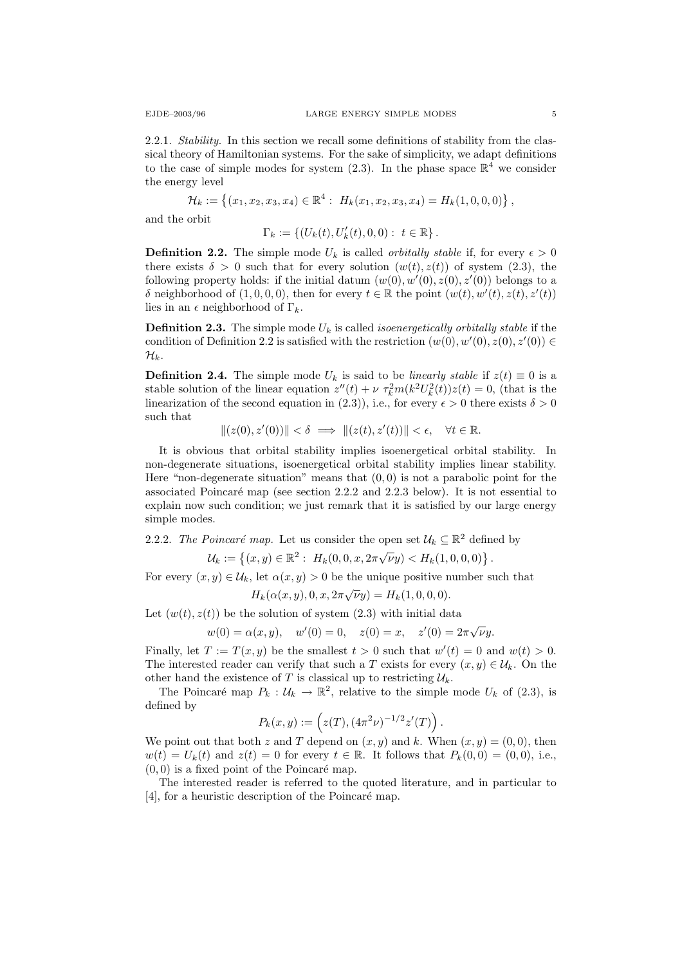2.2.1. Stability. In this section we recall some definitions of stability from the classical theory of Hamiltonian systems. For the sake of simplicity, we adapt definitions to the case of simple modes for system  $(2.3)$ . In the phase space  $\mathbb{R}^4$  we consider the energy level

$$
\mathcal{H}_k := \{ (x_1, x_2, x_3, x_4) \in \mathbb{R}^4 : H_k(x_1, x_2, x_3, x_4) = H_k(1, 0, 0, 0) \},
$$

and the orbit

 $\Gamma_k := \{ (U_k(t), U'_k(t), 0, 0) : t \in \mathbb{R} \}.$ 

**Definition 2.2.** The simple mode  $U_k$  is called *orbitally stable* if, for every  $\epsilon > 0$ there exists  $\delta > 0$  such that for every solution  $(w(t), z(t))$  of system (2.3), the following property holds: if the initial datum  $(w(0), w'(0), z(0), z'(0))$  belongs to a δ neighborhood of  $(1,0,0,0)$ , then for every  $t \in \mathbb{R}$  the point  $(w(t), w'(t), z(t), z'(t))$ lies in an  $\epsilon$  neighborhood of  $\Gamma_k$ .

**Definition 2.3.** The simple mode  $U_k$  is called *isoenergetically orbitally stable* if the condition of Definition 2.2 is satisfied with the restriction  $(w(0), w'(0), z(0), z'(0)) \in$  $\mathcal{H}_k$ .

**Definition 2.4.** The simple mode  $U_k$  is said to be *linearly stable* if  $z(t) \equiv 0$  is a stable solution of the linear equation  $z''(t) + \nu \tau_k^2 m(k^2 U_k^2(t)) z(t) = 0$ , (that is the linearization of the second equation in (2.3)), i.e., for every  $\epsilon > 0$  there exists  $\delta > 0$ such that

$$
||(z(0),z'(0))|| < \delta \implies ||(z(t),z'(t))|| < \epsilon, \quad \forall t \in \mathbb{R}.
$$

It is obvious that orbital stability implies isoenergetical orbital stability. In non-degenerate situations, isoenergetical orbital stability implies linear stability. Here "non-degenerate situation" means that  $(0, 0)$  is not a parabolic point for the associated Poincaré map (see section  $2.2.2$  and  $2.2.3$  below). It is not essential to explain now such condition; we just remark that it is satisfied by our large energy simple modes.

2.2.2. The Poincaré map. Let us consider the open set  $\mathcal{U}_k \subseteq \mathbb{R}^2$  defined by

$$
\mathcal{U}_k := \left\{ (x, y) \in \mathbb{R}^2 : H_k(0, 0, x, 2\pi \sqrt{\nu} y) < H_k(1, 0, 0, 0) \right\}.
$$

For every  $(x, y) \in \mathcal{U}_k$ , let  $\alpha(x, y) > 0$  be the unique positive number such that

$$
H_k(\alpha(x, y), 0, x, 2\pi\sqrt{\nu}y) = H_k(1, 0, 0, 0).
$$

Let  $(w(t), z(t))$  be the solution of system (2.3) with initial data

$$
w(0) = \alpha(x, y),
$$
  $w'(0) = 0,$   $z(0) = x,$   $z'(0) = 2\pi\sqrt{\nu}y.$ 

Finally, let  $T := T(x, y)$  be the smallest  $t > 0$  such that  $w'(t) = 0$  and  $w(t) > 0$ . The interested reader can verify that such a T exists for every  $(x, y) \in \mathcal{U}_k$ . On the other hand the existence of T is classical up to restricting  $\mathcal{U}_k$ .

The Poincaré map  $P_k : \mathcal{U}_k \to \mathbb{R}^2$ , relative to the simple mode  $U_k$  of (2.3), is defined by

$$
P_k(x, y) := (z(T), (4\pi^2 \nu)^{-1/2} z'(T)).
$$

We point out that both z and T depend on  $(x, y)$  and k. When  $(x, y) = (0, 0)$ , then  $w(t) = U_k(t)$  and  $z(t) = 0$  for every  $t \in \mathbb{R}$ . It follows that  $P_k(0,0) = (0,0)$ , i.e.,  $(0, 0)$  is a fixed point of the Poincaré map.

The interested reader is referred to the quoted literature, and in particular to [4], for a heuristic description of the Poincaré map.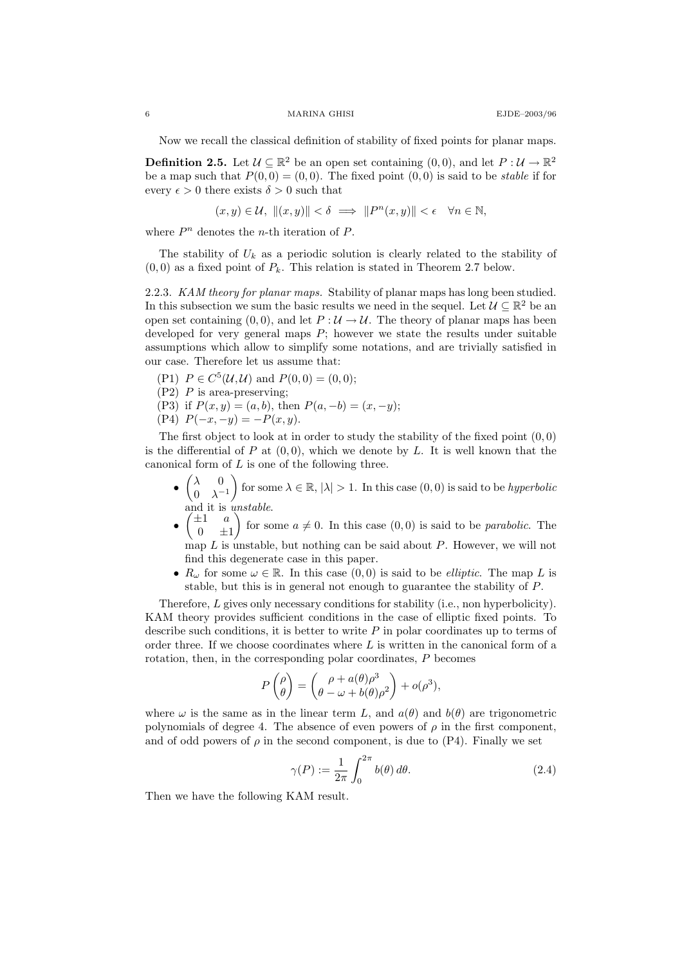Now we recall the classical definition of stability of fixed points for planar maps.

**Definition 2.5.** Let  $\mathcal{U} \subseteq \mathbb{R}^2$  be an open set containing  $(0,0)$ , and let  $P: \mathcal{U} \to \mathbb{R}^2$ be a map such that  $P(0, 0) = (0, 0)$ . The fixed point  $(0, 0)$  is said to be *stable* if for every  $\epsilon > 0$  there exists  $\delta > 0$  such that

$$
(x,y)\in\mathcal{U},\ \|(x,y)\|<\delta\ \Longrightarrow\ \|P^n(x,y)\|<\epsilon\quad\forall n\in\mathbb{N},
$$

where  $P<sup>n</sup>$  denotes the *n*-th iteration of P.

The stability of  $U_k$  as a periodic solution is clearly related to the stability of  $(0, 0)$  as a fixed point of  $P_k$ . This relation is stated in Theorem 2.7 below.

2.2.3. KAM theory for planar maps. Stability of planar maps has long been studied. In this subsection we sum the basic results we need in the sequel. Let  $\mathcal{U} \subseteq \mathbb{R}^2$  be an open set containing  $(0, 0)$ , and let  $P : U \to U$ . The theory of planar maps has been developed for very general maps  $P$ ; however we state the results under suitable assumptions which allow to simplify some notations, and are trivially satisfied in our case. Therefore let us assume that:

- (P1)  $P \in C^5(\mathcal{U}, \mathcal{U})$  and  $P(0, 0) = (0, 0);$
- $(P2)$  P is area-preserving;
- (P3) if  $P(x, y) = (a, b)$ , then  $P(a, -b) = (x, -y)$ ;
- (P4)  $P(-x, -y) = -P(x, y)$ .

The first object to look at in order to study the stability of the fixed point  $(0,0)$ is the differential of P at  $(0, 0)$ , which we denote by L. It is well known that the canonical form of  $L$  is one of the following three.

- $\bullet$   $\begin{pmatrix} \lambda & 0 \\ 0 & \lambda \end{pmatrix}$  $0 \lambda^{-1}$ for some  $\lambda \in \mathbb{R}, |\lambda| > 1$ . In this case  $(0, 0)$  is said to be *hyperbolic* and it is *unstable*.
- $\bullet$   $\begin{pmatrix} \pm 1 & a \\ 0 & \end{pmatrix}$  $0 \quad \pm 1$ for some  $a \neq 0$ . In this case  $(0, 0)$  is said to be *parabolic*. The map  $L$  is unstable, but nothing can be said about  $P$ . However, we will not find this degenerate case in this paper.
- $R_{\omega}$  for some  $\omega \in \mathbb{R}$ . In this case  $(0,0)$  is said to be *elliptic*. The map L is stable, but this is in general not enough to guarantee the stability of P.

Therefore, L gives only necessary conditions for stability (i.e., non hyperbolicity). KAM theory provides sufficient conditions in the case of elliptic fixed points. To describe such conditions, it is better to write  $P$  in polar coordinates up to terms of order three. If we choose coordinates where  $L$  is written in the canonical form of a rotation, then, in the corresponding polar coordinates, P becomes

$$
P\begin{pmatrix} \rho \\ \theta \end{pmatrix} = \begin{pmatrix} \rho + a(\theta)\rho^3 \\ \theta - \omega + b(\theta)\rho^2 \end{pmatrix} + o(\rho^3),
$$

where  $\omega$  is the same as in the linear term L, and  $a(\theta)$  and  $b(\theta)$  are trigonometric polynomials of degree 4. The absence of even powers of  $\rho$  in the first component, and of odd powers of  $\rho$  in the second component, is due to (P4). Finally we set

$$
\gamma(P) := \frac{1}{2\pi} \int_0^{2\pi} b(\theta) d\theta.
$$
 (2.4)

Then we have the following KAM result.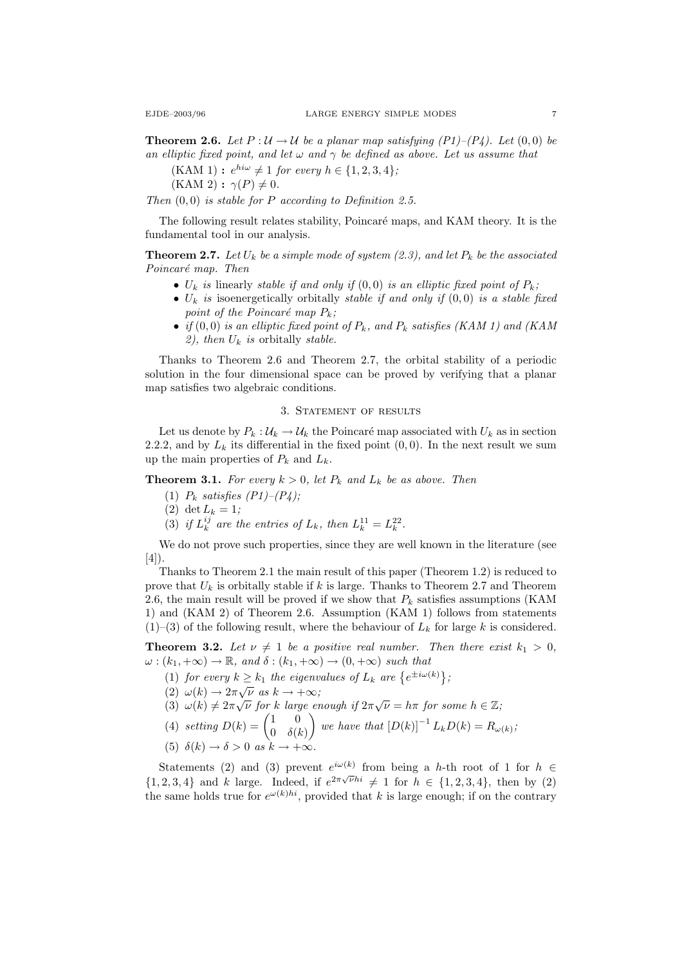**Theorem 2.6.** Let P :  $\mathcal{U} \rightarrow \mathcal{U}$  be a planar map satisfying (P1)–(P4). Let (0,0) be an elliptic fixed point, and let  $\omega$  and  $\gamma$  be defined as above. Let us assume that

 $(KAM 1): e^{hi\omega} \neq 1$  for every  $h \in \{1, 2, 3, 4\}$ ;

 $(KAM 2)$ :  $\gamma(P) \neq 0$ .

Then  $(0, 0)$  is stable for P according to Definition 2.5.

The following result relates stability. Poincaré maps, and KAM theory. It is the fundamental tool in our analysis.

**Theorem 2.7.** Let  $U_k$  be a simple mode of system (2.3), and let  $P_k$  be the associated Poincaré map. Then

- $U_k$  is linearly stable if and only if  $(0,0)$  is an elliptic fixed point of  $P_k$ ;
- $U_k$  is isoenergetically orbitally stable if and only if  $(0,0)$  is a stable fixed point of the Poincaré map  $P_k$ ;
- if  $(0,0)$  is an elliptic fixed point of  $P_k$ , and  $P_k$  satisfies (KAM 1) and (KAM 2), then  $U_k$  is orbitally stable.

Thanks to Theorem 2.6 and Theorem 2.7, the orbital stability of a periodic solution in the four dimensional space can be proved by verifying that a planar map satisfies two algebraic conditions.

### 3. STATEMENT OF RESULTS

Let us denote by  $P_k: U_k \to U_k$  the Poincaré map associated with  $U_k$  as in section 2.2.2, and by  $L_k$  its differential in the fixed point  $(0, 0)$ . In the next result we sum up the main properties of  $P_k$  and  $L_k$ .

**Theorem 3.1.** For every  $k > 0$ , let  $P_k$  and  $L_k$  be as above. Then

- (1)  $P_k$  satisfies  $(P1)$ – $(P4)$ ;
- (2) det  $L_k = 1$ ;
- (3) if  $L_k^{ij}$  are the entries of  $L_k$ , then  $L_k^{11} = L_k^{22}$ .

We do not prove such properties, since they are well known in the literature (see [4]).

Thanks to Theorem 2.1 the main result of this paper (Theorem 1.2) is reduced to prove that  $U_k$  is orbitally stable if k is large. Thanks to Theorem 2.7 and Theorem 2.6, the main result will be proved if we show that  $P_k$  satisfies assumptions (KAM 1) and (KAM 2) of Theorem 2.6. Assumption (KAM 1) follows from statements  $(1)$ –(3) of the following result, where the behaviour of  $L_k$  for large k is considered.

**Theorem 3.2.** Let  $\nu \neq 1$  be a positive real number. Then there exist  $k_1 > 0$ ,  $\omega : (k_1, +\infty) \to \mathbb{R}$ , and  $\delta : (k_1, +\infty) \to (0, +\infty)$  such that

- (1) for every  $k \geq k_1$  the eigenvalues of  $L_k$  are  $\{e^{\pm i\omega(k)}\}$ ;
- $(2) \omega(k) \rightarrow 2\pi \sqrt{\nu} \text{ as } k \rightarrow +\infty;$
- (2)  $\omega(k) \to 2\pi \sqrt{\nu}$  as  $k \to +\infty$ ;<br>(3)  $\omega(k) \neq 2\pi \sqrt{\nu}$  for k large enough if  $2\pi \sqrt{\nu} = h\pi$  for some  $h \in \mathbb{Z}$ ;
- (4) setting  $D(k) = \begin{pmatrix} 1 & 0 \\ 0 & s \end{pmatrix}$  $0 \delta(k)$ we have that  $[D(k)]^{-1} L_k D(k) = R_{\omega(k)}$ ;
- (5)  $\delta(k) \to \delta > 0$  as  $k \to +\infty$ .

Statements (2) and (3) prevent  $e^{i\omega(k)}$  from being a h-th root of 1 for  $h \in$  $\{1, 2, 3, 4\}$  and k large. Indeed, if  $e^{2\pi\sqrt{\nu}hi} \neq 1$  for  $h \in \{1, 2, 3, 4\}$ , then by (2) the same holds true for  $e^{\omega(k)hi}$ , provided that k is large enough; if on the contrary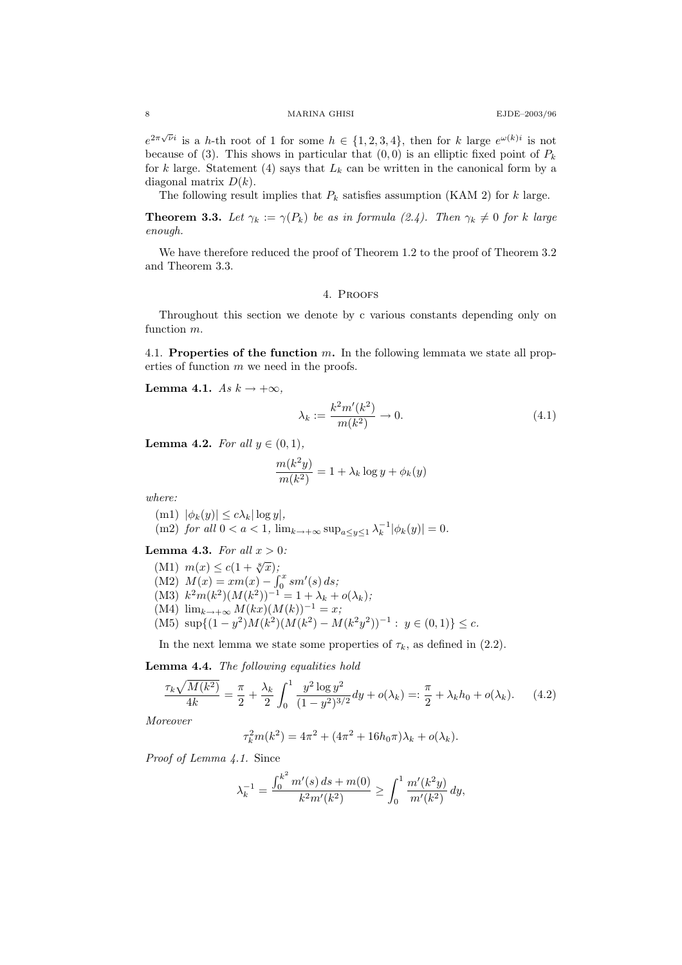$e^{2\pi\sqrt{\nu}i}$  is a h-th root of 1 for some  $h \in \{1,2,3,4\}$ , then for k large  $e^{\omega(k)i}$  is not because of (3). This shows in particular that  $(0, 0)$  is an elliptic fixed point of  $P_k$ for k large. Statement (4) says that  $L_k$  can be written in the canonical form by a diagonal matrix  $D(k)$ .

The following result implies that  $P_k$  satisfies assumption (KAM 2) for k large.

**Theorem 3.3.** Let  $\gamma_k := \gamma(P_k)$  be as in formula (2.4). Then  $\gamma_k \neq 0$  for k large enough.

We have therefore reduced the proof of Theorem 1.2 to the proof of Theorem 3.2 and Theorem 3.3.

# 4. Proofs

Throughout this section we denote by c various constants depending only on function m.

4.1. Properties of the function  $m$ . In the following lemmata we state all properties of function  $m$  we need in the proofs.

Lemma 4.1.  $As k \rightarrow +\infty$ ,

$$
\lambda_k := \frac{k^2 m'(k^2)}{m(k^2)} \to 0.
$$
\n(4.1)

Lemma 4.2. For all  $y \in (0,1)$ ,

$$
\frac{m(k^2y)}{m(k^2)} = 1 + \lambda_k \log y + \phi_k(y)
$$

where:

(m1)  $|\phi_k(y)| \leq c \lambda_k |\log y|$ , (m2) for all  $0 < a < 1$ ,  $\lim_{k \to +\infty} \sup_{a \le y \le 1} \lambda_k^{-1} |\phi_k(y)| = 0$ .

**Lemma 4.3.** For all  $x > 0$ :

(M1)  $m(x) \leq c(1 + \sqrt[8]{x});$ (M2)  $M(x) = xm(x) - \int_0^x sm'(s) ds;$ (M3)  $k^2 m(k^2) (M(k^2))^{-1} = 1 + \lambda_k + o(\lambda_k);$ (M4)  $\lim_{k \to +\infty} M(kx) (M(k))^{-1} = x;$ (M5)  $\sup\{(1-y^2)M(k^2)(M(k^2) - M(k^2y^2))^{-1} : y \in (0,1)\} \leq c.$ 

In the next lemma we state some properties of  $\tau_k$ , as defined in (2.2).

Lemma 4.4. The following equalities hold

$$
\frac{\tau_k \sqrt{M(k^2)}}{4k} = \frac{\pi}{2} + \frac{\lambda_k}{2} \int_0^1 \frac{y^2 \log y^2}{(1 - y^2)^{3/2}} dy + o(\lambda_k) =: \frac{\pi}{2} + \lambda_k h_0 + o(\lambda_k). \tag{4.2}
$$

Moreover

$$
\tau_k^2 m(k^2) = 4\pi^2 + (4\pi^2 + 16h_0\pi)\lambda_k + o(\lambda_k).
$$

Proof of Lemma 4.1. Since

$$
\lambda_k^{-1} = \frac{\int_0^{k^2} m'(s) \, ds + m(0)}{k^2 m'(k^2)} \ge \int_0^1 \frac{m'(k^2 y)}{m'(k^2)} \, dy,
$$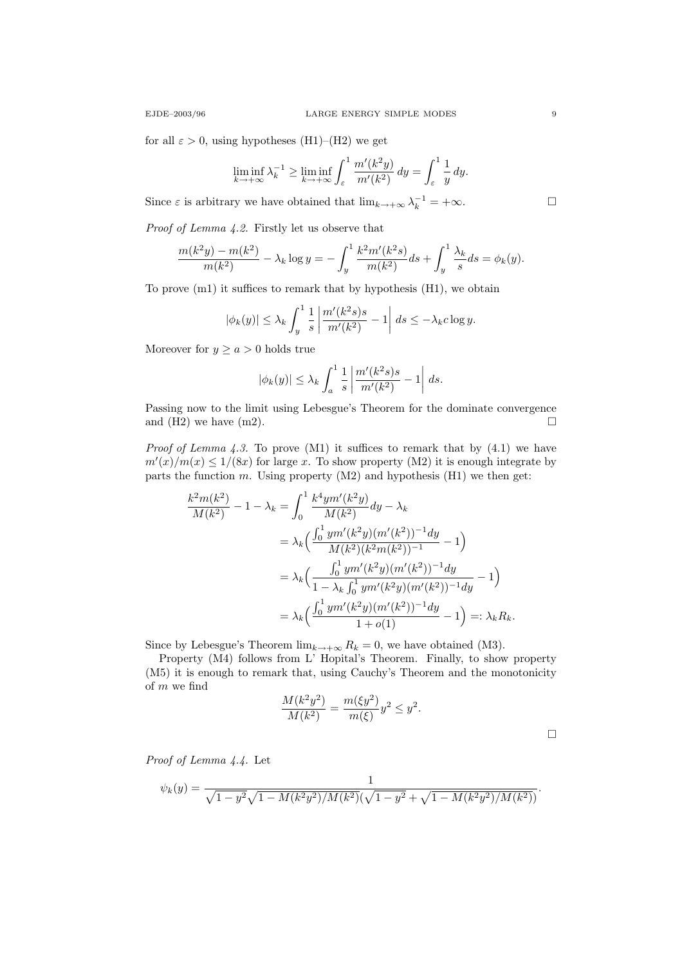for all  $\varepsilon > 0$ , using hypotheses (H1)–(H2) we get

$$
\liminf_{k \to +\infty} \lambda_k^{-1} \ge \liminf_{k \to +\infty} \int_{\varepsilon}^1 \frac{m'(k^2y)}{m'(k^2)} dy = \int_{\varepsilon}^1 \frac{1}{y} dy.
$$

Since  $\varepsilon$  is arbitrary we have obtained that  $\lim_{k \to +\infty} \lambda_k^{-1} = +\infty$ .

Proof of Lemma 4.2. Firstly let us observe that

$$
\frac{m(k^2y) - m(k^2)}{m(k^2)} - \lambda_k \log y = -\int_y^1 \frac{k^2 m'(k^2s)}{m(k^2)} ds + \int_y^1 \frac{\lambda_k}{s} ds = \phi_k(y).
$$

To prove (m1) it suffices to remark that by hypothesis (H1), we obtain

$$
|\phi_k(y)| \leq \lambda_k \int_y^1 \frac{1}{s} \left| \frac{m'(k^2 s) s}{m'(k^2)} - 1 \right| ds \leq -\lambda_k c \log y.
$$

Moreover for  $y \ge a > 0$  holds true

$$
|\phi_k(y)| \leq \lambda_k \int_a^1 \frac{1}{s} \left| \frac{m'(k^2 s) s}{m'(k^2)} - 1 \right| ds.
$$

Passing now to the limit using Lebesgue's Theorem for the dominate convergence and (H2) we have  $(m2)$ .

*Proof of Lemma 4.3.* To prove  $(M1)$  it suffices to remark that by  $(4.1)$  we have  $m'(x)/m(x) \leq 1/(8x)$  for large x. To show property (M2) it is enough integrate by parts the function m. Using property  $(M2)$  and hypothesis  $(H1)$  we then get:

$$
\frac{k^2 m(k^2)}{M(k^2)} - 1 - \lambda_k = \int_0^1 \frac{k^4 y m'(k^2 y)}{M(k^2)} dy - \lambda_k
$$
  
=  $\lambda_k \left( \frac{\int_0^1 y m'(k^2 y) (m'(k^2))^{-1} dy}{M(k^2)(k^2 m(k^2))^{-1}} - 1 \right)$   
=  $\lambda_k \left( \frac{\int_0^1 y m'(k^2 y) (m'(k^2))^{-1} dy}{1 - \lambda_k \int_0^1 y m'(k^2 y) (m'(k^2))^{-1} dy} - 1 \right)$   
=  $\lambda_k \left( \frac{\int_0^1 y m'(k^2 y) (m'(k^2))^{-1} dy}{1 + o(1)} - 1 \right) =: \lambda_k R_k.$ 

Since by Lebesgue's Theorem  $\lim_{k\to+\infty} R_k = 0$ , we have obtained (M3).

Property (M4) follows from L' Hopital's Theorem. Finally, to show property (M5) it is enough to remark that, using Cauchy's Theorem and the monotonicity of m we find

$$
\frac{M(k^2y^2)}{M(k^2)} = \frac{m(\xi y^2)}{m(\xi)}y^2 \le y^2.
$$

Proof of Lemma 4.4. Let

$$
\psi_k(y) = \frac{1}{\sqrt{1 - y^2} \sqrt{1 - M(k^2 y^2)/M(k^2)} (\sqrt{1 - y^2} + \sqrt{1 - M(k^2 y^2)/M(k^2)})}.
$$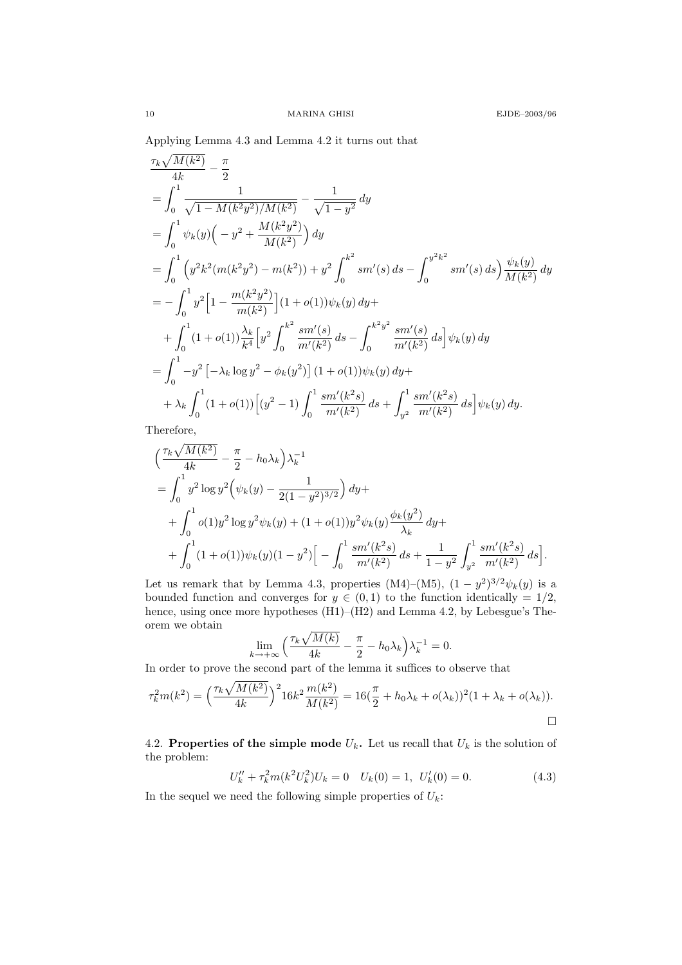Applying Lemma 4.3 and Lemma 4.2 it turns out that

$$
\frac{\tau_{k}\sqrt{M(k^{2})}}{4k} - \frac{\pi}{2}
$$
\n
$$
= \int_{0}^{1} \frac{1}{\sqrt{1 - M(k^{2}y^{2})/M(k^{2})}} - \frac{1}{\sqrt{1 - y^{2}}} dy
$$
\n
$$
= \int_{0}^{1} \psi_{k}(y) \left( -y^{2} + \frac{M(k^{2}y^{2})}{M(k^{2})} \right) dy
$$
\n
$$
= \int_{0}^{1} \left( y^{2}k^{2}(m(k^{2}y^{2}) - m(k^{2})) + y^{2} \int_{0}^{k^{2}} sm'(s) ds - \int_{0}^{y^{2}k^{2}} sm'(s) ds \right) \frac{\psi_{k}(y)}{M(k^{2})} dy
$$
\n
$$
= - \int_{0}^{1} y^{2} \left[ 1 - \frac{m(k^{2}y^{2})}{m(k^{2})} \right] (1 + o(1)) \psi_{k}(y) dy +
$$
\n
$$
+ \int_{0}^{1} (1 + o(1)) \frac{\lambda_{k}}{k^{4}} \left[ y^{2} \int_{0}^{k^{2}} \frac{sm'(s)}{m'(k^{2})} ds - \int_{0}^{k^{2}y^{2}} \frac{sm'(s)}{m'(k^{2})} ds \right] \psi_{k}(y) dy
$$
\n
$$
= \int_{0}^{1} -y^{2} \left[ -\lambda_{k} \log y^{2} - \phi_{k}(y^{2}) \right] (1 + o(1)) \psi_{k}(y) dy +
$$
\n
$$
+ \lambda_{k} \int_{0}^{1} (1 + o(1)) \left[ (y^{2} - 1) \int_{0}^{1} \frac{sm'(k^{2}s)}{m'(k^{2})} ds + \int_{y^{2}}^{1} \frac{sm'(k^{2}s)}{m'(k^{2})} ds \right] \psi_{k}(y) dy.
$$

Therefore,

$$
\left(\frac{\tau_k \sqrt{M(k^2)}}{4k} - \frac{\pi}{2} - h_0 \lambda_k\right) \lambda_k^{-1}
$$
  
=  $\int_0^1 y^2 \log y^2 \left(\psi_k(y) - \frac{1}{2(1 - y^2)^{3/2}}\right) dy +$   
+  $\int_0^1 o(1) y^2 \log y^2 \psi_k(y) + (1 + o(1)) y^2 \psi_k(y) \frac{\phi_k(y^2)}{\lambda_k} dy +$   
+  $\int_0^1 (1 + o(1)) \psi_k(y) (1 - y^2) \left[ - \int_0^1 \frac{sm'(k^2s)}{m'(k^2)} ds + \frac{1}{1 - y^2} \int_{y^2}^1 \frac{sm'(k^2s)}{m'(k^2)} ds \right].$ 

Let us remark that by Lemma 4.3, properties (M4)–(M5),  $(1 - y^2)^{3/2} \psi_k(y)$  is a bounded function and converges for  $y \in (0,1)$  to the function identically = 1/2, hence, using once more hypotheses (H1)–(H2) and Lemma 4.2, by Lebesgue's Theorem we obtain

$$
\lim_{k \to +\infty} \left( \frac{\tau_k \sqrt{M(k)}}{4k} - \frac{\pi}{2} - h_0 \lambda_k \right) \lambda_k^{-1} = 0.
$$

In order to prove the second part of the lemma it suffices to observe that

$$
\tau_k^2 m(k^2) = \left(\frac{\tau_k \sqrt{M(k^2)}}{4k}\right)^2 16k^2 \frac{m(k^2)}{M(k^2)} = 16\left(\frac{\pi}{2} + h_0 \lambda_k + o(\lambda_k)\right)^2 (1 + \lambda_k + o(\lambda_k)).
$$

4.2. Properties of the simple mode  $U_k$ . Let us recall that  $U_k$  is the solution of the problem:

$$
U''_k + \tau_k^2 m(k^2 U_k^2) U_k = 0 \quad U_k(0) = 1, \ U'_k(0) = 0. \tag{4.3}
$$

In the sequel we need the following simple properties of  $U_k$ :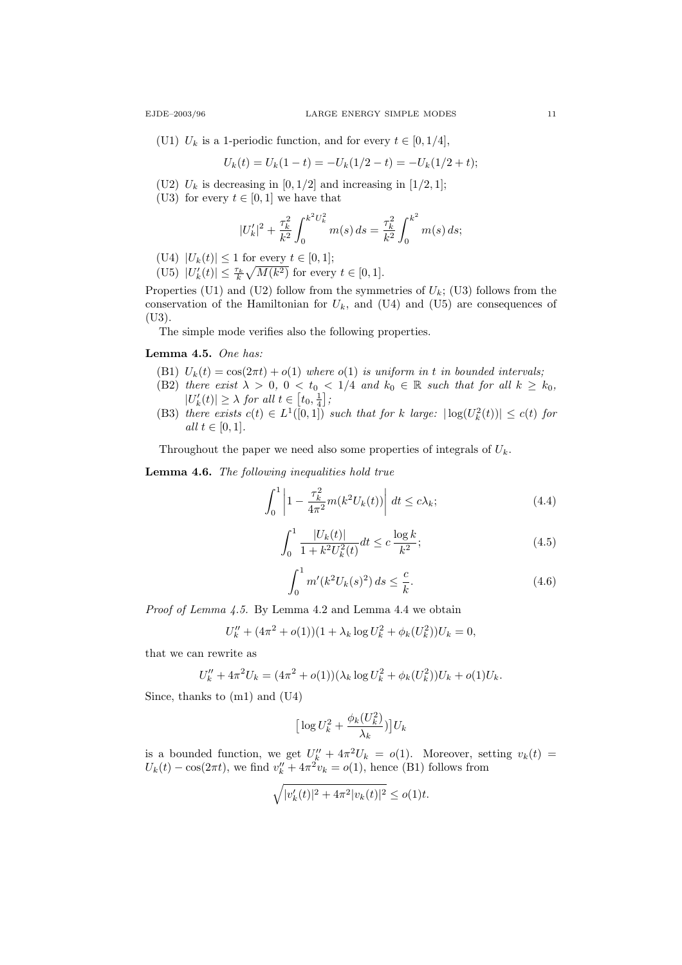(U1)  $U_k$  is a 1-periodic function, and for every  $t \in [0, 1/4]$ ,

$$
U_k(t) = U_k(1-t) = -U_k(1/2-t) = -U_k(1/2+t);
$$

- (U2)  $U_k$  is decreasing in  $[0, 1/2]$  and increasing in  $[1/2, 1]$ ;
- (U3) for every  $t \in [0,1]$  we have that

$$
|U'_{k}|^{2} + \frac{\tau_{k}^{2}}{k^{2}} \int_{0}^{k^{2}U_{k}^{2}} m(s) ds = \frac{\tau_{k}^{2}}{k^{2}} \int_{0}^{k^{2}} m(s) ds;
$$

- (U4)  $|U_k(t)| \le 1$  for every  $t \in [0, 1]$ ;
- (U5)  $|U'_k(t)| \leq \frac{\tau_k}{k} \sqrt{M(k^2)}$  for every  $t \in [0, 1]$ .

Properties (U1) and (U2) follow from the symmetries of  $U_k$ ; (U3) follows from the conservation of the Hamiltonian for  $U_k$ , and (U4) and (U5) are consequences of (U3).

The simple mode verifies also the following properties.

Lemma 4.5. One has:

- (B1)  $U_k(t) = \cos(2\pi t) + o(1)$  where  $o(1)$  is uniform in t in bounded intervals;
- (B2) there exist  $\lambda > 0$ ,  $0 < t_0 < 1/4$  and  $k_0 \in \mathbb{R}$  such that for all  $k \geq k_0$ ,  $|U'_{k}(t)| \geq \lambda$  for all  $t \in [t_0, \frac{1}{4}]$ ;
- (B3) there exists  $c(t) \in L^1([0,1])$  such that for k large:  $|\log(U_k^2(t))| \leq c(t)$  for all  $t \in [0, 1]$ .

Throughout the paper we need also some properties of integrals of  $U_k$ .

Lemma 4.6. The following inequalities hold true

$$
\int_0^1 \left| 1 - \frac{\tau_k^2}{4\pi^2} m(k^2 U_k(t)) \right| dt \le c\lambda_k; \tag{4.4}
$$

$$
\int_0^1 \frac{|U_k(t)|}{1 + k^2 U_k^2(t)} dt \le c \frac{\log k}{k^2};\tag{4.5}
$$

$$
\int_0^1 m'(k^2 U_k(s)^2) ds \le \frac{c}{k}.
$$
\n(4.6)

Proof of Lemma 4.5. By Lemma 4.2 and Lemma 4.4 we obtain

$$
U''_k + (4\pi^2 + o(1))(1 + \lambda_k \log U_k^2 + \phi_k(U_k^2))U_k = 0,
$$

that we can rewrite as

$$
U''_k + 4\pi^2 U_k = (4\pi^2 + o(1))(\lambda_k \log U_k^2 + \phi_k(U_k^2))U_k + o(1)U_k.
$$

Since, thanks to (m1) and (U4)

$$
\big[\log U_k^2 + \frac{\phi_k(U_k^2)}{\lambda_k})\big]U_k
$$

is a bounded function, we get  $U_k'' + 4\pi^2 U_k = o(1)$ . Moreover, setting  $v_k(t) =$  $U_k(t) - \cos(2\pi t)$ , we find  $v_k'' + 4\pi^2 v_k = o(1)$ , hence (B1) follows from

$$
\sqrt{|v_k'(t)|^2 + 4\pi^2 |v_k(t)|^2} \le o(1)t.
$$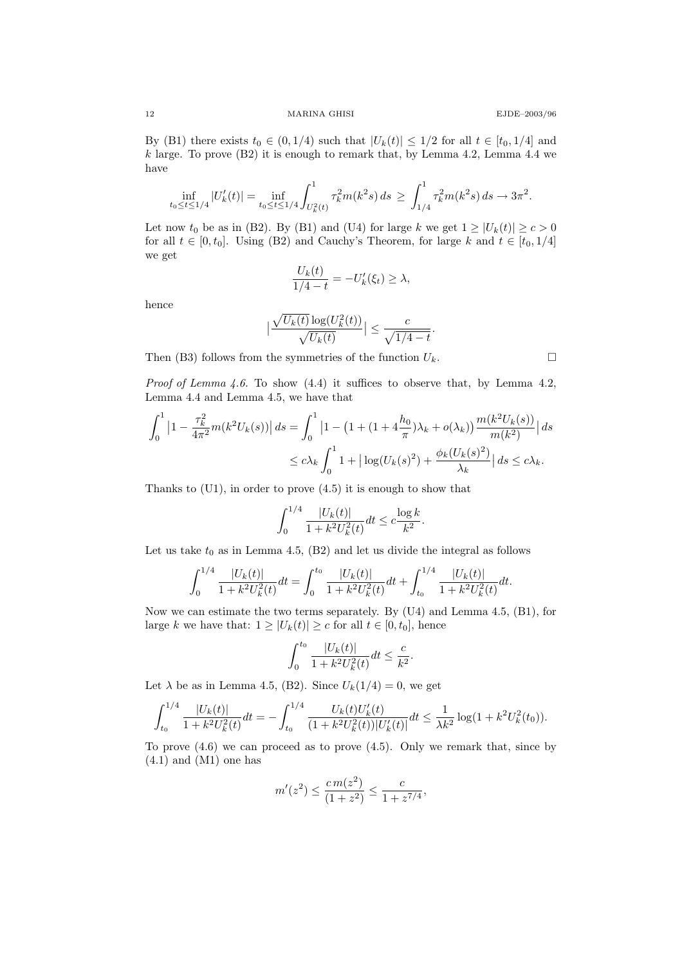12 MARINA GHISI EJDE–2003/96

By (B1) there exists  $t_0 \in (0, 1/4)$  such that  $|U_k(t)| \leq 1/2$  for all  $t \in [t_0, 1/4]$  and  $k$  large. To prove (B2) it is enough to remark that, by Lemma 4.2, Lemma 4.4 we have

$$
\inf_{t_0 \le t \le 1/4} |U'_k(t)| = \inf_{t_0 \le t \le 1/4} \int_{U_k^2(t)}^1 \tau_k^2 m(k^2 s) ds \ge \int_{1/4}^1 \tau_k^2 m(k^2 s) ds \to 3\pi^2.
$$

Let now  $t_0$  be as in (B2). By (B1) and (U4) for large k we get  $1 \geq |U_k(t)| \geq c > 0$ for all  $t \in [0, t_0]$ . Using (B2) and Cauchy's Theorem, for large k and  $t \in [t_0, 1/4]$ we get

$$
\frac{U_k(t)}{1/4 - t} = -U'_k(\xi_t) \ge \lambda,
$$

hence

$$
\big|\frac{\sqrt{U_k(t)}\log(U_k^2(t))}{\sqrt{U_k(t)}}\big|\leq \frac{c}{\sqrt{1/4-t}}.
$$

Then (B3) follows from the symmetries of the function  $U_k$ .

*Proof of Lemma 4.6.* To show  $(4.4)$  it suffices to observe that, by Lemma 4.2, Lemma 4.4 and Lemma 4.5, we have that

$$
\int_0^1 \left| 1 - \frac{\tau_k^2}{4\pi^2} m(k^2 U_k(s)) \right| ds = \int_0^1 \left| 1 - \left( 1 + (1 + 4\frac{h_0}{\pi}) \lambda_k + o(\lambda_k) \right) \frac{m(k^2 U_k(s))}{m(k^2)} \right| ds
$$
  

$$
\le c\lambda_k \int_0^1 1 + \left| \log(U_k(s)^2) + \frac{\phi_k(U_k(s)^2)}{\lambda_k} \right| ds \le c\lambda_k.
$$

Thanks to (U1), in order to prove (4.5) it is enough to show that

$$
\int_0^{1/4} \frac{|U_k(t)|}{1 + k^2 U_k^2(t)} dt \le c \frac{\log k}{k^2}.
$$

Let us take  $t_0$  as in Lemma 4.5, (B2) and let us divide the integral as follows

$$
\int_0^{1/4} \frac{|U_k(t)|}{1 + k^2 U_k^2(t)} dt = \int_0^{t_0} \frac{|U_k(t)|}{1 + k^2 U_k^2(t)} dt + \int_{t_0}^{1/4} \frac{|U_k(t)|}{1 + k^2 U_k^2(t)} dt.
$$

Now we can estimate the two terms separately. By (U4) and Lemma 4.5, (B1), for large k we have that:  $1 \geq |U_k(t)| \geq c$  for all  $t \in [0, t_0]$ , hence

$$
\int_0^{t_0} \frac{|U_k(t)|}{1 + k^2 U_k^2(t)} dt \le \frac{c}{k^2}.
$$

Let  $\lambda$  be as in Lemma 4.5, (B2). Since  $U_k(1/4) = 0$ , we get

$$
\int_{t_0}^{1/4} \frac{|U_k(t)|}{1 + k^2 U_k^2(t)} dt = -\int_{t_0}^{1/4} \frac{U_k(t)U'_k(t)}{(1 + k^2 U_k^2(t))|U'_k(t)|} dt \le \frac{1}{\lambda k^2} \log(1 + k^2 U_k^2(t_0)).
$$

To prove  $(4.6)$  we can proceed as to prove  $(4.5)$ . Only we remark that, since by  $(4.1)$  and  $(M1)$  one has

$$
m'(z^2) \le \frac{c \, m(z^2)}{(1+z^2)} \le \frac{c}{1+z^{7/4}},
$$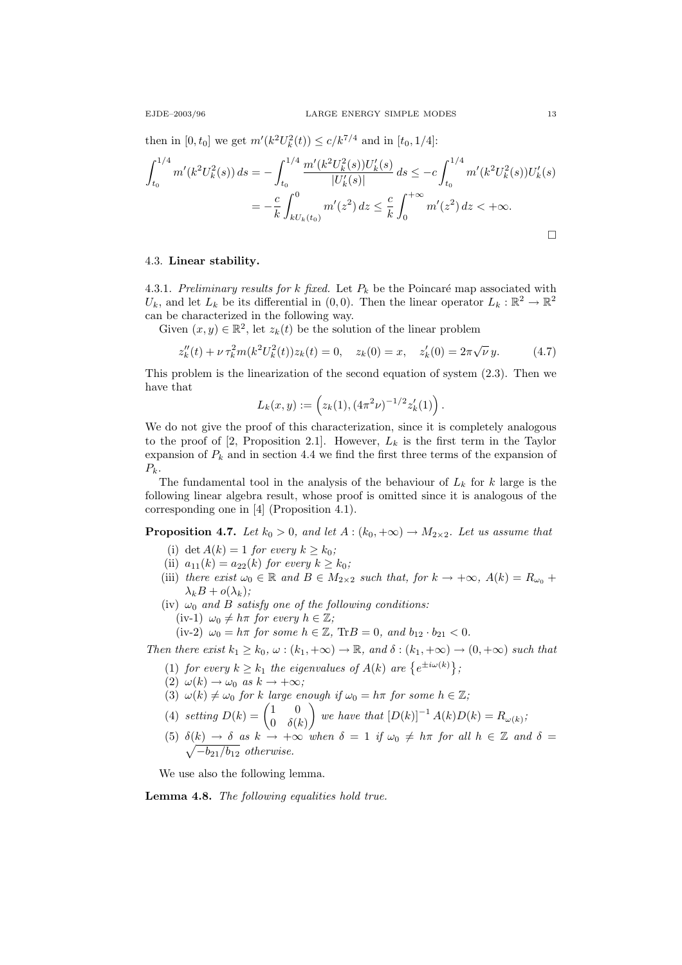then in  $[0, t_0]$  we get  $m'(k^2 U_k^2(t)) \le c/k^{7/4}$  and in  $[t_0, 1/4]$ :

$$
\int_{t_0}^{1/4} m'(k^2 U_k^2(s)) ds = -\int_{t_0}^{1/4} \frac{m'(k^2 U_k^2(s)) U_k'(s)}{|U_k'(s)|} ds \le -c \int_{t_0}^{1/4} m'(k^2 U_k^2(s)) U_k'(s)
$$
  
=  $-\frac{c}{k} \int_{kU_k(t_0)}^0 m'(z^2) dz \le \frac{c}{k} \int_0^{+\infty} m'(z^2) dz < +\infty.$ 

# 4.3. Linear stability.

4.3.1. Preliminary results for k fixed. Let  $P_k$  be the Poincaré map associated with  $U_k$ , and let  $L_k$  be its differential in  $(0,0)$ . Then the linear operator  $L_k : \mathbb{R}^2 \to \mathbb{R}^2$ can be characterized in the following way.

Given  $(x, y) \in \mathbb{R}^2$ , let  $z_k(t)$  be the solution of the linear problem

$$
z_k''(t) + \nu \tau_k^2 m(k^2 U_k^2(t)) z_k(t) = 0, \quad z_k(0) = x, \quad z_k'(0) = 2\pi \sqrt{\nu} y. \tag{4.7}
$$

This problem is the linearization of the second equation of system (2.3). Then we have that

$$
L_k(x,y) := \left(z_k(1), (4\pi^2\nu)^{-1/2} z'_k(1)\right).
$$

We do not give the proof of this characterization, since it is completely analogous to the proof of [2, Proposition 2.1]. However,  $L_k$  is the first term in the Taylor expansion of  $P_k$  and in section 4.4 we find the first three terms of the expansion of  $P_k$ .

The fundamental tool in the analysis of the behaviour of  $L_k$  for k large is the following linear algebra result, whose proof is omitted since it is analogous of the corresponding one in [4] (Proposition 4.1).

**Proposition 4.7.** Let  $k_0 > 0$ , and let  $A : (k_0, +\infty) \to M_{2 \times 2}$ . Let us assume that

- (i) det  $A(k) = 1$  for every  $k \geq k_0$ ;
- (ii)  $a_{11}(k) = a_{22}(k)$  for every  $k \ge k_0$ ;
- (iii) there exist  $\omega_0 \in \mathbb{R}$  and  $B \in M_{2\times 2}$  such that, for  $k \to +\infty$ ,  $A(k) = R_{\omega_0}$  +  $\lambda_k B + o(\lambda_k);$
- (iv)  $\omega_0$  and B satisfy one of the following conditions: (iv-1)  $\omega_0 \neq h\pi$  for every  $h \in \mathbb{Z}$ ;

(iv-2)  $\omega_0 = h\pi$  for some  $h \in \mathbb{Z}$ , Tr $B = 0$ , and  $b_{12} \cdot b_{21} < 0$ .

Then there exist  $k_1 \geq k_0, \omega : (k_1, +\infty) \to \mathbb{R}$ , and  $\delta : (k_1, +\infty) \to (0, +\infty)$  such that

- (1) for every  $k \geq k_1$  the eigenvalues of  $A(k)$  are  $\{e^{\pm i\omega(k)}\}\,$ ;
- (2)  $\omega(k) \to \omega_0$  as  $k \to +\infty$ ;
- (3)  $\omega(k) \neq \omega_0$  for k large enough if  $\omega_0 = h\pi$  for some  $h \in \mathbb{Z}$ ;
- (4) setting  $D(k) = \begin{pmatrix} 1 & 0 \\ 0 & s \end{pmatrix}$  $0 \delta(k)$ we have that  $[D(k)]^{-1} A(k)D(k) = R_{\omega(k)}$ ;
- (5)  $\delta(k) \to \delta$  as  $k \to +\infty$  when  $\delta = 1$  if  $\omega_0 \neq h\pi$  for all  $h \in \mathbb{Z}$  and  $\delta =$  $\sqrt{-b_{21}/b_{12}}$  otherwise.

We use also the following lemma.

Lemma 4.8. The following equalities hold true.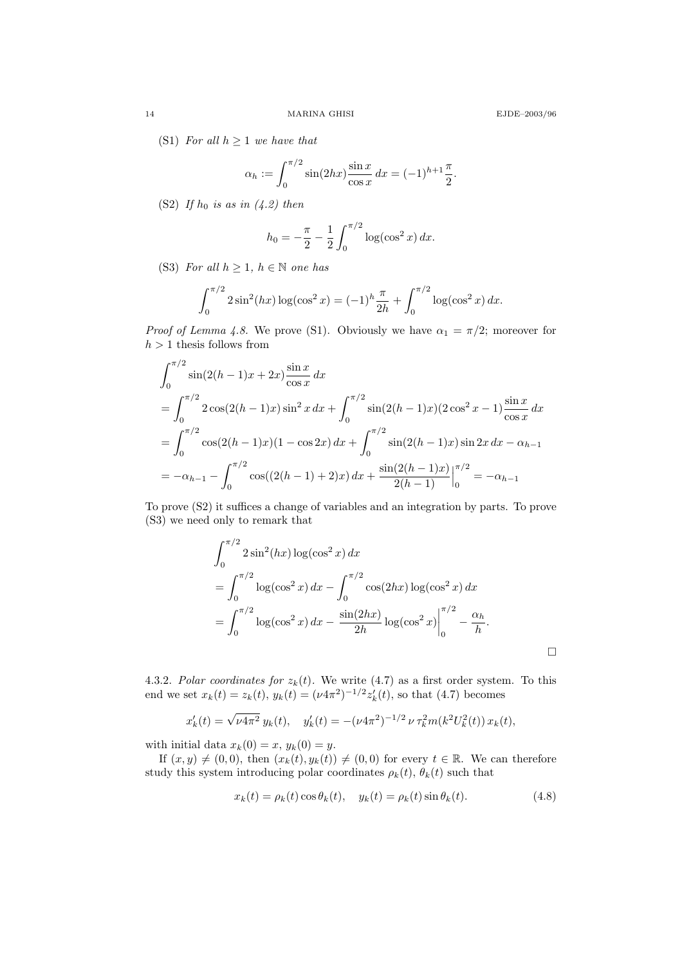(S1) For all  $h \geq 1$  we have that

$$
\alpha_h := \int_0^{\pi/2} \sin(2hx) \frac{\sin x}{\cos x} \, dx = (-1)^{h+1} \frac{\pi}{2}.
$$

(S2) If  $h_0$  is as in (4.2) then

$$
h_0 = -\frac{\pi}{2} - \frac{1}{2} \int_0^{\pi/2} \log(\cos^2 x) \, dx.
$$

(S3) For all  $h \geq 1$ ,  $h \in \mathbb{N}$  one has

$$
\int_0^{\pi/2} 2\sin^2(hx) \log(\cos^2 x) = (-1)^h \frac{\pi}{2h} + \int_0^{\pi/2} \log(\cos^2 x) dx.
$$

*Proof of Lemma 4.8.* We prove (S1). Obviously we have  $\alpha_1 = \pi/2$ ; moreover for  $h>1$  thesis follows from

$$
\int_0^{\pi/2} \sin(2(h-1)x + 2x) \frac{\sin x}{\cos x} dx
$$
  
= 
$$
\int_0^{\pi/2} 2 \cos(2(h-1)x) \sin^2 x dx + \int_0^{\pi/2} \sin(2(h-1)x) (2 \cos^2 x - 1) \frac{\sin x}{\cos x} dx
$$
  
= 
$$
\int_0^{\pi/2} \cos(2(h-1)x) (1 - \cos 2x) dx + \int_0^{\pi/2} \sin(2(h-1)x) \sin 2x dx - \alpha_{h-1}
$$
  
= 
$$
-\alpha_{h-1} - \int_0^{\pi/2} \cos((2(h-1) + 2)x) dx + \frac{\sin(2(h-1)x)}{2(h-1)} \Big|_0^{\pi/2} = -\alpha_{h-1}
$$

To prove (S2) it suffices a change of variables and an integration by parts. To prove (S3) we need only to remark that

$$
\int_0^{\pi/2} 2\sin^2(hx) \log(\cos^2 x) dx
$$
  
= 
$$
\int_0^{\pi/2} \log(\cos^2 x) dx - \int_0^{\pi/2} \cos(2hx) \log(\cos^2 x) dx
$$
  
= 
$$
\int_0^{\pi/2} \log(\cos^2 x) dx - \frac{\sin(2hx)}{2h} \log(\cos^2 x) \Big|_0^{\pi/2} - \frac{\alpha_h}{h}.
$$

4.3.2. Polar coordinates for  $z_k(t)$ . We write (4.7) as a first order system. To this end we set  $x_k(t) = z_k(t)$ ,  $y_k(t) = (\nu 4\pi^2)^{-1/2} z'_k(t)$ , so that (4.7) becomes

$$
x'_{k}(t) = \sqrt{\nu 4\pi^2} y_k(t), \quad y'_{k}(t) = -(\nu 4\pi^2)^{-1/2} \nu \tau_k^2 m(k^2 U_k^2(t)) x_k(t),
$$

with initial data  $x_k(0) = x$ ,  $y_k(0) = y$ .

If  $(x, y) \neq (0, 0)$ , then  $(x_k(t), y_k(t)) \neq (0, 0)$  for every  $t \in \mathbb{R}$ . We can therefore study this system introducing polar coordinates  $\rho_k(t)$ ,  $\theta_k(t)$  such that

$$
x_k(t) = \rho_k(t) \cos \theta_k(t), \quad y_k(t) = \rho_k(t) \sin \theta_k(t). \tag{4.8}
$$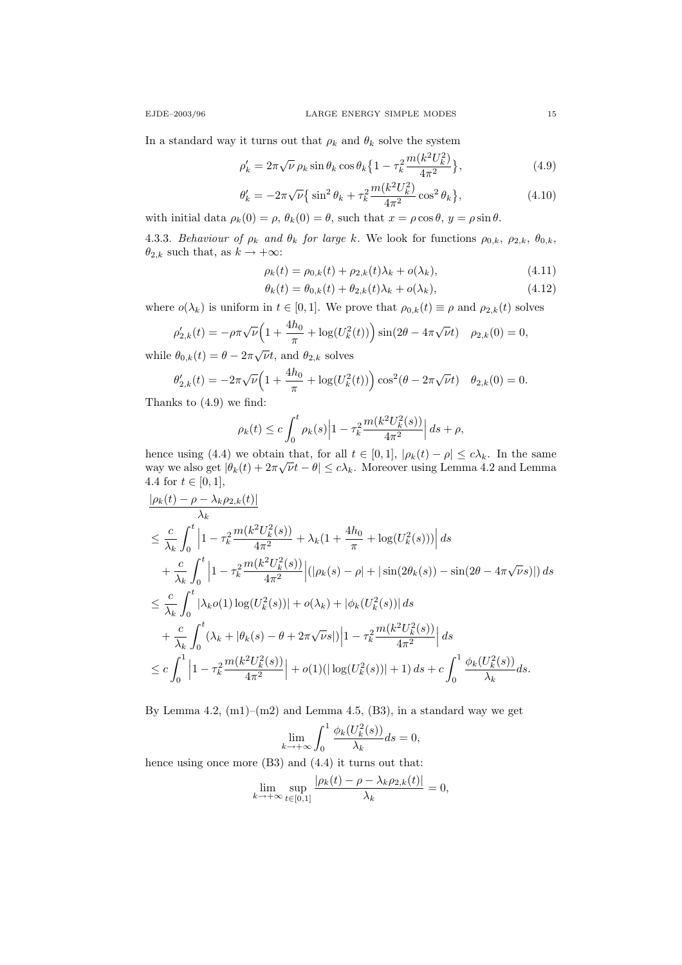In a standard way it turns out that  $\rho_k$  and  $\theta_k$  solve the system

$$
\rho_k' = 2\pi\sqrt{\nu}\,\rho_k\sin\theta_k\cos\theta_k\left\{1 - \tau_k^2 \frac{m(k^2U_k^2)}{4\pi^2}\right\},\tag{4.9}
$$

$$
\theta'_k = -2\pi\sqrt{\nu}\left\{\sin^2\theta_k + \tau_k^2 \frac{m(k^2 U_k^2)}{4\pi^2}\cos^2\theta_k\right\},\tag{4.10}
$$

with initial data  $\rho_k(0) = \rho, \theta_k(0) = \theta$ , such that  $x = \rho \cos \theta, y = \rho \sin \theta$ .

4.3.3. Behaviour of  $\rho_k$  and  $\theta_k$  for large k. We look for functions  $\rho_{0,k}$ ,  $\rho_{2,k}$ ,  $\theta_{0,k}$ ,  $\theta_{2,k}$  such that, as  $k\to +\infty:$ 

$$
\rho_k(t) = \rho_{0,k}(t) + \rho_{2,k}(t)\lambda_k + o(\lambda_k),
$$
\n(4.11)

$$
\theta_k(t) = \theta_{0,k}(t) + \theta_{2,k}(t)\lambda_k + o(\lambda_k),\tag{4.12}
$$

where  $o(\lambda_k)$  is uniform in  $t \in [0,1]$ . We prove that  $\rho_{0,k}(t) \equiv \rho$  and  $\rho_{2,k}(t)$  solves

$$
\rho'_{2,k}(t) = -\rho \pi \sqrt{\nu} \left( 1 + \frac{4h_0}{\pi} + \log(U_k^2(t)) \right) \sin(2\theta - 4\pi \sqrt{\nu} t) \quad \rho_{2,k}(0) = 0,
$$

while  $\theta_{0,k}(t) = \theta - 2\pi \sqrt{\nu}t$ , and  $\theta_{2,k}$  solves

$$
\theta'_{2,k}(t) = -2\pi\sqrt{\nu}\left(1 + \frac{4h_0}{\pi} + \log(U_k^2(t))\right)\cos^2(\theta - 2\pi\sqrt{\nu}t) \quad \theta_{2,k}(0) = 0.
$$

Thanks to (4.9) we find:

$$
\rho_k(t) \le c \int_0^t \rho_k(s) \left| 1 - \tau_k^2 \frac{m(k^2 U_k^2(s))}{4\pi^2} \right| ds + \rho,
$$

hence using (4.4) we obtain that, for all  $t \in [0, 1]$ ,  $|\rho_k(t) - \rho| \le c\lambda_k$ . In the same way we also get  $|\theta_k(t) + 2\pi \sqrt{\nu t} - \theta| \leq c\lambda_k$ . Moreover using Lemma 4.2 and Lemma 4.4 for  $t \in [0, 1]$ ,

$$
\frac{|\rho_k(t) - \rho - \lambda_k \rho_{2,k}(t)|}{\lambda_k}
$$
\n
$$
\leq \frac{c}{\lambda_k} \int_0^t \left| 1 - \tau_k^2 \frac{m(k^2 U_k^2(s))}{4\pi^2} + \lambda_k (1 + \frac{4h_0}{\pi} + \log(U_k^2(s))) \right| ds
$$
\n
$$
+ \frac{c}{\lambda_k} \int_0^t \left| 1 - \tau_k^2 \frac{m(k^2 U_k^2(s))}{4\pi^2} \right| (|\rho_k(s) - \rho| + |\sin(2\theta_k(s)) - \sin(2\theta - 4\pi\sqrt{\nu}s)|) ds
$$
\n
$$
\leq \frac{c}{\lambda_k} \int_0^t |\lambda_k o(1) \log(U_k^2(s))| + o(\lambda_k) + |\phi_k(U_k^2(s))| ds
$$
\n
$$
+ \frac{c}{\lambda_k} \int_0^t (\lambda_k + |\theta_k(s) - \theta + 2\pi\sqrt{\nu}s|) \left| 1 - \tau_k^2 \frac{m(k^2 U_k^2(s))}{4\pi^2} \right| ds
$$
\n
$$
\leq c \int_0^1 \left| 1 - \tau_k^2 \frac{m(k^2 U_k^2(s))}{4\pi^2} \right| + o(1)(|\log(U_k^2(s))| + 1) ds + c \int_0^1 \frac{\phi_k(U_k^2(s))}{\lambda_k} ds.
$$

By Lemma 4.2,  $(m1)$ – $(m2)$  and Lemma 4.5,  $(B3)$ , in a standard way we get

$$
\lim_{k \to +\infty} \int_0^1 \frac{\phi_k(U_k^2(s))}{\lambda_k} ds = 0,
$$

hence using once more (B3) and (4.4) it turns out that:

$$
\lim_{k \to +\infty} \sup_{t \in [0,1]} \frac{|\rho_k(t) - \rho - \lambda_k \rho_{2,k}(t)|}{\lambda_k} = 0,
$$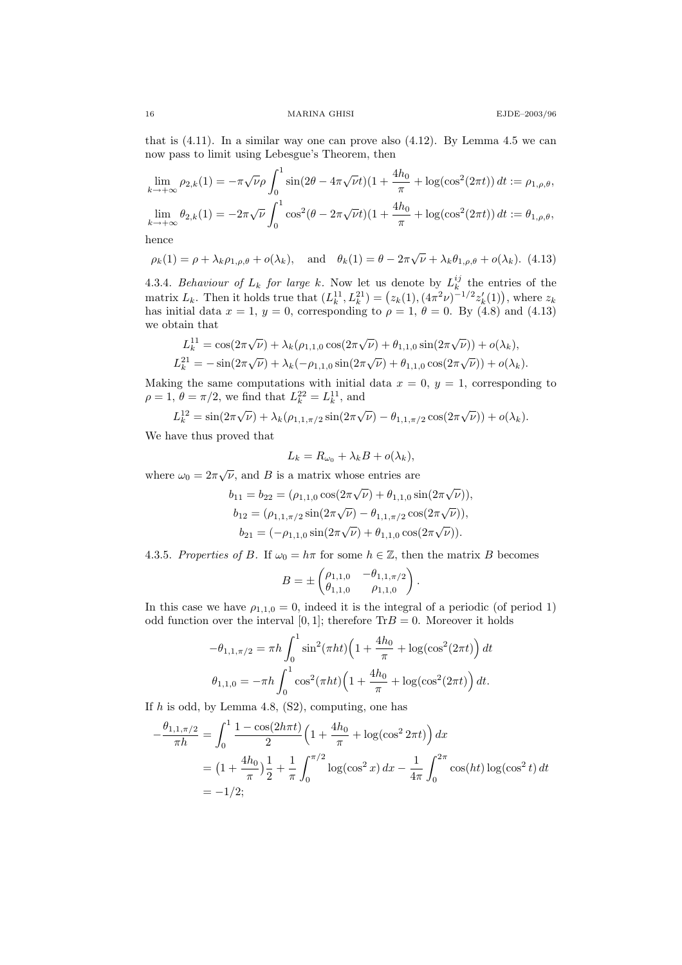that is  $(4.11)$ . In a similar way one can prove also  $(4.12)$ . By Lemma 4.5 we can now pass to limit using Lebesgue's Theorem, then

$$
\lim_{k \to +\infty} \rho_{2,k}(1) = -\pi \sqrt{\nu} \rho \int_0^1 \sin(2\theta - 4\pi \sqrt{\nu} t)(1 + \frac{4h_0}{\pi} + \log(\cos^2(2\pi t)) dt := \rho_{1,\rho,\theta},
$$
  

$$
\lim_{k \to +\infty} \theta_{2,k}(1) = -2\pi \sqrt{\nu} \int_0^1 \cos^2(\theta - 2\pi \sqrt{\nu} t)(1 + \frac{4h_0}{\pi} + \log(\cos^2(2\pi t)) dt := \theta_{1,\rho,\theta},
$$

hence

$$
\rho_k(1) = \rho + \lambda_k \rho_{1,\rho,\theta} + o(\lambda_k), \text{ and } \theta_k(1) = \theta - 2\pi\sqrt{\nu} + \lambda_k \theta_{1,\rho,\theta} + o(\lambda_k).
$$
 (4.13)

4.3.4. Behaviour of  $L_k$  for large k. Now let us denote by  $L_k^{ij}$  the entries of the matrix  $L_k$ . Then it holds true that  $(L_k^{11}, L_k^{21}) = (z_k(1), (4\pi^2\nu)^{-1/2} z'_k(1)),$  where  $z_k$ has initial data  $x = 1$ ,  $y = 0$ , corresponding to  $\rho = 1$ ,  $\theta = 0$ . By (4.8) and (4.13) we obtain that

$$
L_k^{11} = \cos(2\pi\sqrt{\nu}) + \lambda_k(\rho_{1,1,0}\cos(2\pi\sqrt{\nu}) + \theta_{1,1,0}\sin(2\pi\sqrt{\nu})) + o(\lambda_k),
$$
  

$$
L_k^{21} = -\sin(2\pi\sqrt{\nu}) + \lambda_k(-\rho_{1,1,0}\sin(2\pi\sqrt{\nu}) + \theta_{1,1,0}\cos(2\pi\sqrt{\nu})) + o(\lambda_k).
$$

Making the same computations with initial data  $x = 0$ ,  $y = 1$ , corresponding to  $\rho = 1, \, \theta = \pi/2$ , we find that  $L_k^{22} = L_k^{11}$ , and

$$
L_k^{12} = \sin(2\pi\sqrt{\nu}) + \lambda_k(\rho_{1,1,\pi/2}\sin(2\pi\sqrt{\nu}) - \theta_{1,1,\pi/2}\cos(2\pi\sqrt{\nu})) + o(\lambda_k).
$$

We have thus proved that

$$
L_k = R_{\omega_0} + \lambda_k B + o(\lambda_k),
$$

where  $\omega_0 = 2\pi\sqrt{\nu}$ , and B is a matrix whose entries are

$$
b_{11} = b_{22} = (\rho_{1,1,0} \cos(2\pi \sqrt{\nu}) + \theta_{1,1,0} \sin(2\pi \sqrt{\nu})),
$$
  
\n
$$
b_{12} = (\rho_{1,1,\pi/2} \sin(2\pi \sqrt{\nu}) - \theta_{1,1,\pi/2} \cos(2\pi \sqrt{\nu})),
$$
  
\n
$$
b_{21} = (-\rho_{1,1,0} \sin(2\pi \sqrt{\nu}) + \theta_{1,1,0} \cos(2\pi \sqrt{\nu})).
$$

4.3.5. Properties of B. If  $\omega_0 = h\pi$  for some  $h \in \mathbb{Z}$ , then the matrix B becomes

$$
B = \pm \begin{pmatrix} \rho_{1,1,0} & -\theta_{1,1,\pi/2} \\ \theta_{1,1,0} & \rho_{1,1,0} \end{pmatrix}.
$$

In this case we have  $\rho_{1,1,0} = 0$ , indeed it is the integral of a periodic (of period 1) odd function over the interval [0, 1]; therefore  $Tr B = 0$ . Moreover it holds

$$
-\theta_{1,1,\pi/2} = \pi h \int_0^1 \sin^2(\pi ht) \left(1 + \frac{4h_0}{\pi} + \log(\cos^2(2\pi t)\right) dt
$$

$$
\theta_{1,1,0} = -\pi h \int_0^1 \cos^2(\pi ht) \left(1 + \frac{4h_0}{\pi} + \log(\cos^2(2\pi t)\right) dt.
$$

If  $h$  is odd, by Lemma 4.8,  $(S2)$ , computing, one has

$$
-\frac{\theta_{1,1,\pi/2}}{\pi h} = \int_0^1 \frac{1 - \cos(2h\pi t)}{2} \left(1 + \frac{4h_0}{\pi} + \log(\cos^2 2\pi t)\right) dx
$$
  
=  $\left(1 + \frac{4h_0}{\pi}\right) \frac{1}{2} + \frac{1}{\pi} \int_0^{\pi/2} \log(\cos^2 x) dx - \frac{1}{4\pi} \int_0^{2\pi} \cos(ht) \log(\cos^2 t) dt$   
=  $-1/2;$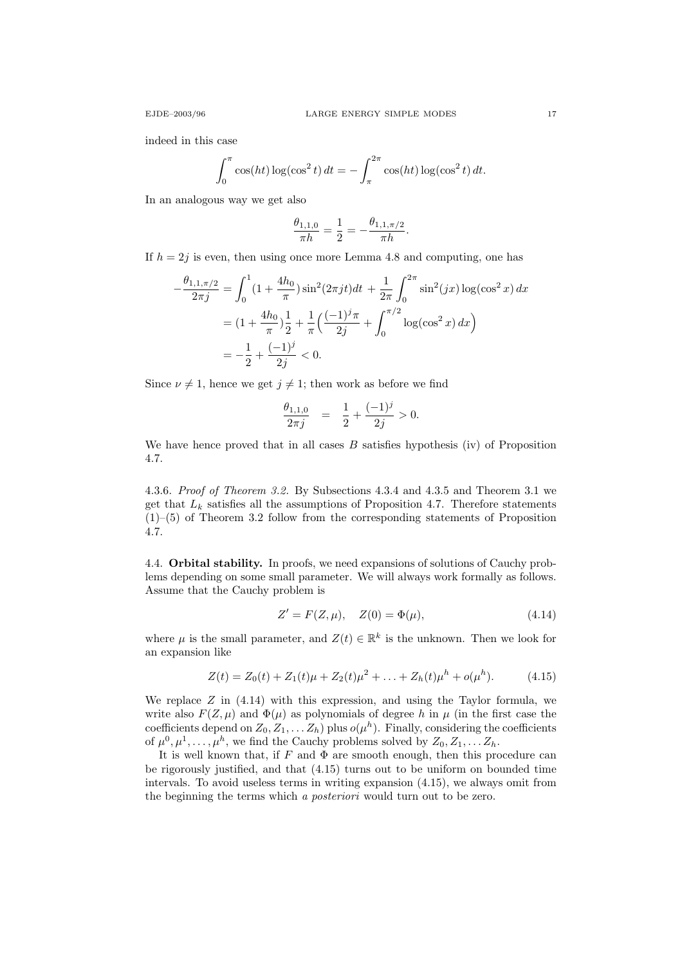indeed in this case

$$
\int_0^{\pi} \cos(ht) \log(\cos^2 t) dt = -\int_{\pi}^{2\pi} \cos(ht) \log(\cos^2 t) dt.
$$

In an analogous way we get also

$$
\frac{\theta_{1,1,0}}{\pi h} = \frac{1}{2} = -\frac{\theta_{1,1,\pi/2}}{\pi h}.
$$

If  $h = 2j$  is even, then using once more Lemma 4.8 and computing, one has

$$
-\frac{\theta_{1,1,\pi/2}}{2\pi j} = \int_0^1 (1 + \frac{4h_0}{\pi}) \sin^2(2\pi j t) dt + \frac{1}{2\pi} \int_0^{2\pi} \sin^2(jx) \log(\cos^2 x) dx
$$
  
=  $(1 + \frac{4h_0}{\pi})\frac{1}{2} + \frac{1}{\pi} \left(\frac{(-1)^j \pi}{2j} + \int_0^{\pi/2} \log(\cos^2 x) dx\right)$   
=  $-\frac{1}{2} + \frac{(-1)^j}{2j} < 0.$ 

Since  $\nu \neq 1$ , hence we get  $j \neq 1$ ; then work as before we find

$$
\frac{\theta_{1,1,0}}{2\pi j} = \frac{1}{2} + \frac{(-1)^j}{2j} > 0.
$$

We have hence proved that in all cases  $B$  satisfies hypothesis (iv) of Proposition 4.7.

4.3.6. Proof of Theorem 3.2. By Subsections 4.3.4 and 4.3.5 and Theorem 3.1 we get that  $L_k$  satisfies all the assumptions of Proposition 4.7. Therefore statements (1)–(5) of Theorem 3.2 follow from the corresponding statements of Proposition 4.7.

4.4. Orbital stability. In proofs, we need expansions of solutions of Cauchy problems depending on some small parameter. We will always work formally as follows. Assume that the Cauchy problem is

$$
Z' = F(Z, \mu), \quad Z(0) = \Phi(\mu), \tag{4.14}
$$

where  $\mu$  is the small parameter, and  $Z(t) \in \mathbb{R}^k$  is the unknown. Then we look for an expansion like

$$
Z(t) = Z_0(t) + Z_1(t)\mu + Z_2(t)\mu^2 + \ldots + Z_h(t)\mu^h + o(\mu^h). \tag{4.15}
$$

We replace  $Z$  in  $(4.14)$  with this expression, and using the Taylor formula, we write also  $F(Z, \mu)$  and  $\Phi(\mu)$  as polynomials of degree h in  $\mu$  (in the first case the coefficients depend on  $Z_0, Z_1, \ldots Z_h$ ) plus  $o(\mu^h)$ . Finally, considering the coefficients of  $\mu^0, \mu^1, \ldots, \mu^h$ , we find the Cauchy problems solved by  $Z_0, Z_1, \ldots, Z_h$ .

It is well known that, if  $F$  and  $\Phi$  are smooth enough, then this procedure can be rigorously justified, and that (4.15) turns out to be uniform on bounded time intervals. To avoid useless terms in writing expansion (4.15), we always omit from the beginning the terms which a posteriori would turn out to be zero.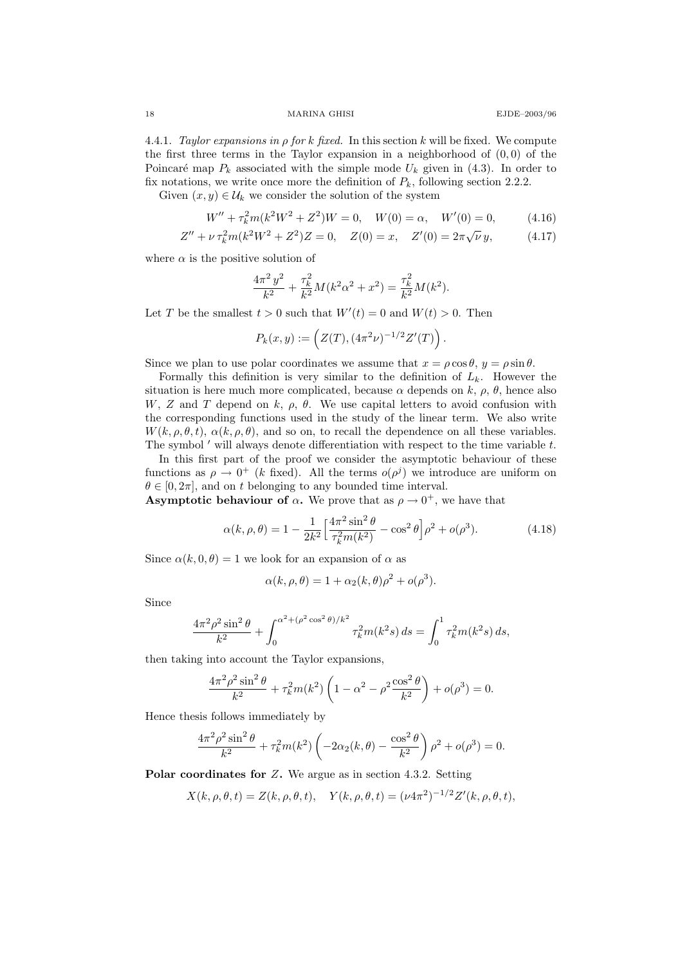4.4.1. Taylor expansions in ρ for k fixed. In this section k will be fixed. We compute the first three terms in the Taylor expansion in a neighborhood of  $(0,0)$  of the Poincaré map  $P_k$  associated with the simple mode  $U_k$  given in (4.3). In order to fix notations, we write once more the definition of  $P_k$ , following section 2.2.2.

Given  $(x, y) \in \mathcal{U}_k$  we consider the solution of the system

$$
W'' + \tau_k^2 m(k^2 W^2 + Z^2)W = 0, \quad W(0) = \alpha, \quad W'(0) = 0,\tag{4.16}
$$
\n
$$
W'' + \tau_k^2 m(k^2 W^2 + Z^2)W = 0, \quad W(0) = \alpha, \quad W'(0) = 0,\tag{4.17}
$$

$$
Z'' + \nu \tau_k^2 m (k^2 W^2 + Z^2) Z = 0, \quad Z(0) = x, \quad Z'(0) = 2\pi \sqrt{\nu} y,
$$
 (4.17)

where  $\alpha$  is the positive solution of

$$
\frac{4\pi^2 y^2}{k^2} + \frac{\tau_k^2}{k^2} M(k^2 \alpha^2 + x^2) = \frac{\tau_k^2}{k^2} M(k^2).
$$

Let T be the smallest  $t > 0$  such that  $W'(t) = 0$  and  $W(t) > 0$ . Then

$$
P_k(x,y) := (Z(T), (4\pi^2 \nu)^{-1/2} Z'(T)).
$$

Since we plan to use polar coordinates we assume that  $x = \rho \cos \theta$ ,  $y = \rho \sin \theta$ .

Formally this definition is very similar to the definition of  $L_k$ . However the situation is here much more complicated, because  $\alpha$  depends on k,  $\rho$ ,  $\theta$ , hence also W, Z and T depend on k,  $\rho$ ,  $\theta$ . We use capital letters to avoid confusion with the corresponding functions used in the study of the linear term. We also write  $W(k, \rho, \theta, t)$ ,  $\alpha(k, \rho, \theta)$ , and so on, to recall the dependence on all these variables. The symbol  $'$  will always denote differentiation with respect to the time variable  $t$ .

In this first part of the proof we consider the asymptotic behaviour of these functions as  $\rho \to 0^+$  (k fixed). All the terms  $o(\rho^j)$  we introduce are uniform on  $\theta \in [0, 2\pi]$ , and on t belonging to any bounded time interval.

**Asymptotic behaviour of**  $\alpha$ **.** We prove that as  $\rho \rightarrow 0^+$ , we have that

$$
\alpha(k,\rho,\theta) = 1 - \frac{1}{2k^2} \left[ \frac{4\pi^2 \sin^2 \theta}{\tau_k^2 m(k^2)} - \cos^2 \theta \right] \rho^2 + o(\rho^3). \tag{4.18}
$$

Since  $\alpha(k, 0, \theta) = 1$  we look for an expansion of  $\alpha$  as

$$
\alpha(k, \rho, \theta) = 1 + \alpha_2(k, \theta)\rho^2 + o(\rho^3).
$$

Since

$$
\frac{4\pi^2\rho^2\sin^2\theta}{k^2} + \int_0^{\alpha^2 + (\rho^2\cos^2\theta)/k^2} \tau_k^2 m(k^2s) ds = \int_0^1 \tau_k^2 m(k^2s) ds,
$$

then taking into account the Taylor expansions,

$$
\frac{4\pi^2\rho^2\sin^2\theta}{k^2} + \tau_k^2 m(k^2) \left(1 - \alpha^2 - \rho^2 \frac{\cos^2\theta}{k^2}\right) + o(\rho^3) = 0.
$$

Hence thesis follows immediately by

$$
\frac{4\pi^2 \rho^2 \sin^2 \theta}{k^2} + \tau_k^2 m(k^2) \left( -2\alpha_2(k,\theta) - \frac{\cos^2 \theta}{k^2} \right) \rho^2 + o(\rho^3) = 0.
$$

Polar coordinates for Z. We argue as in section 4.3.2. Setting

$$
X(k, \rho, \theta, t) = Z(k, \rho, \theta, t), \quad Y(k, \rho, \theta, t) = (\nu 4\pi^2)^{-1/2} Z'(k, \rho, \theta, t),
$$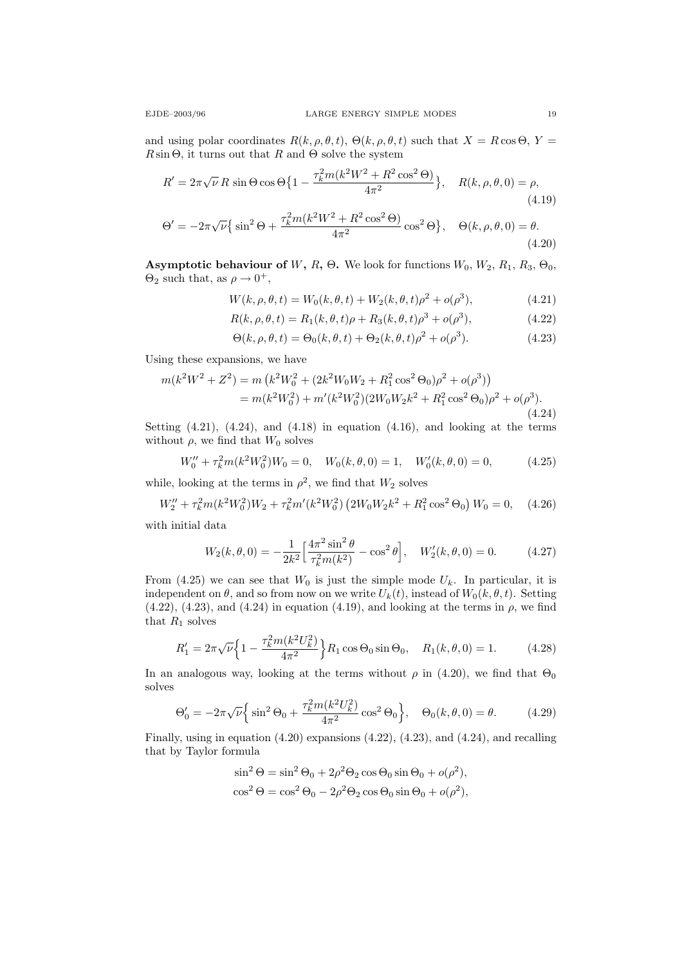and using polar coordinates  $R(k, \rho, \theta, t)$ ,  $\Theta(k, \rho, \theta, t)$  such that  $X = R \cos \Theta$ ,  $Y =$  $R\sin\Theta$ , it turns out that R and  $\Theta$  solve the system

$$
R' = 2\pi\sqrt{\nu} R \sin\Theta \cos\Theta \{1 - \frac{\tau_k^2 m (k^2 W^2 + R^2 \cos^2 \Theta)}{4\pi^2} \}, \quad R(k, \rho, \theta, 0) = \rho,
$$
\n(4.19)\n
$$
\Theta' = -2\pi\sqrt{\nu} \{ \sin^2\Theta + \frac{\tau_k^2 m (k^2 W^2 + R^2 \cos^2 \Theta)}{4\pi^2} \cos^2\Theta \}, \quad \Theta(k, \rho, \theta, 0) = \theta.
$$
\n(4.20)

Asymptotic behaviour of W, R,  $\Theta$ . We look for functions  $W_0$ ,  $W_2$ ,  $R_1$ ,  $R_3$ ,  $\Theta_0$ ,  $\Theta_2$  such that, as  $\rho \to 0^+,$ 

$$
W(k, \rho, \theta, t) = W_0(k, \theta, t) + W_2(k, \theta, t)\rho^2 + o(\rho^3),
$$
\n(4.21)

$$
R(k, \rho, \theta, t) = R_1(k, \theta, t)\rho + R_3(k, \theta, t)\rho^3 + o(\rho^3),
$$
\n(4.22)

$$
\Theta(k,\rho,\theta,t) = \Theta_0(k,\theta,t) + \Theta_2(k,\theta,t)\rho^2 + o(\rho^3). \tag{4.23}
$$

Using these expansions, we have

$$
m(k^2W^2 + Z^2) = m (k^2W_0^2 + (2k^2W_0W_2 + R_1^2\cos^2\Theta_0)\rho^2 + o(\rho^3))
$$
  
=  $m(k^2W_0^2) + m'(k^2W_0^2)(2W_0W_2k^2 + R_1^2\cos^2\Theta_0)\rho^2 + o(\rho^3).$  (4.24)

Setting  $(4.21)$ ,  $(4.24)$ , and  $(4.18)$  in equation  $(4.16)$ , and looking at the terms without  $\rho$ , we find that  $W_0$  solves

$$
W_0'' + \tau_k^2 m(k^2 W_0^2) W_0 = 0, \quad W_0(k, \theta, 0) = 1, \quad W_0'(k, \theta, 0) = 0,
$$
 (4.25)

while, looking at the terms in  $\rho^2$ , we find that  $W_2$  solves

$$
W_2'' + \tau_k^2 m(k^2 W_0^2) W_2 + \tau_k^2 m'(k^2 W_0^2) (2W_0 W_2 k^2 + R_1^2 \cos^2 \Theta_0) W_0 = 0, \quad (4.26)
$$

with initial data

$$
W_2(k,\theta,0) = -\frac{1}{2k^2} \left[ \frac{4\pi^2 \sin^2 \theta}{\tau_k^2 m(k^2)} - \cos^2 \theta \right], \quad W_2'(k,\theta,0) = 0. \tag{4.27}
$$

From (4.25) we can see that  $W_0$  is just the simple mode  $U_k$ . In particular, it is independent on  $\theta$ , and so from now on we write  $U_k(t)$ , instead of  $W_0(k, \theta, t)$ . Setting  $(4.22)$ ,  $(4.23)$ , and  $(4.24)$  in equation  $(4.19)$ , and looking at the terms in  $\rho$ , we find that  $R_1$  solves

$$
R_1' = 2\pi\sqrt{\nu} \left\{ 1 - \frac{\tau_k^2 m(k^2 U_k^2)}{4\pi^2} \right\} R_1 \cos \Theta_0 \sin \Theta_0, \quad R_1(k, \theta, 0) = 1. \tag{4.28}
$$

In an analogous way, looking at the terms without  $\rho$  in (4.20), we find that  $\Theta_0$ solves

$$
\Theta_0' = -2\pi\sqrt{\nu}\left\{\sin^2\Theta_0 + \frac{\tau_k^2 m(k^2 U_k^2)}{4\pi^2}\cos^2\Theta_0\right\}, \quad \Theta_0(k,\theta,0) = \theta. \tag{4.29}
$$

Finally, using in equation (4.20) expansions (4.22), (4.23), and (4.24), and recalling that by Taylor formula

$$
\sin^2 \Theta = \sin^2 \Theta_0 + 2\rho^2 \Theta_2 \cos \Theta_0 \sin \Theta_0 + o(\rho^2),
$$
  

$$
\cos^2 \Theta = \cos^2 \Theta_0 - 2\rho^2 \Theta_2 \cos \Theta_0 \sin \Theta_0 + o(\rho^2),
$$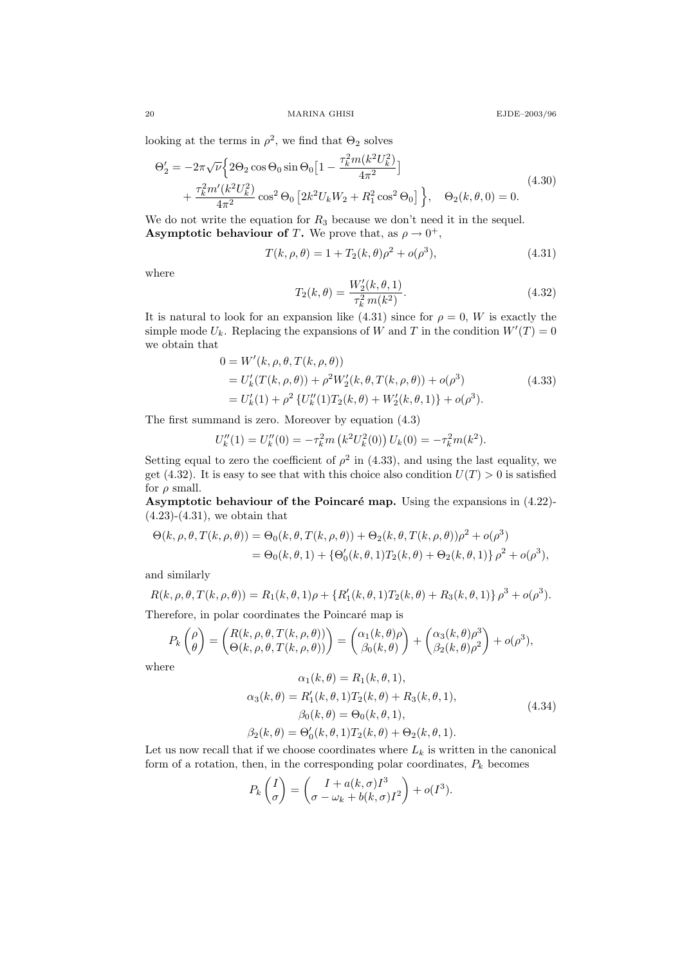looking at the terms in  $\rho^2$ , we find that  $\Theta_2$  solves

$$
\Theta'_{2} = -2\pi\sqrt{\nu}\Big{2\Theta_{2}\cos\Theta_{0}\sin\Theta_{0}\Big{[1-\frac{\tau_{k}^{2}m(k^{2}U_{k}^{2})}{4\pi^{2}}\Big]} + \frac{\tau_{k}^{2}m'(k^{2}U_{k}^{2})}{4\pi^{2}}\cos^{2}\Theta_{0}\Big{[2k^{2}U_{k}W_{2} + R_{1}^{2}\cos^{2}\Theta_{0}\Big]}\Big{}, \quad \Theta_{2}(k,\theta,0) = 0.
$$
\n(4.30)

We do not write the equation for  $R_3$  because we don't need it in the sequel. **Asymptotic behaviour of T.** We prove that, as  $\rho \to 0^+,$ 

$$
T(k, \rho, \theta) = 1 + T_2(k, \theta)\rho^2 + o(\rho^3),
$$
\n(4.31)

where

$$
T_2(k,\theta) = \frac{W_2'(k,\theta,1)}{\tau_k^2 m(k^2)}.
$$
\n(4.32)

It is natural to look for an expansion like (4.31) since for  $\rho = 0$ , W is exactly the simple mode  $U_k$ . Replacing the expansions of W and T in the condition  $W'(T) = 0$ we obtain that

$$
0 = W'(k, \rho, \theta, T(k, \rho, \theta))
$$
  
=  $U'_k(T(k, \rho, \theta)) + \rho^2 W'_2(k, \theta, T(k, \rho, \theta)) + o(\rho^3)$   
=  $U'_k(1) + \rho^2 \{U''_k(1)T_2(k, \theta) + W'_2(k, \theta, 1)\} + o(\rho^3)$ . (4.33)

The first summand is zero. Moreover by equation (4.3)

$$
U''_k(1) = U''_k(0) = -\tau_k^2 m\left(k^2 U_k^2(0)\right) U_k(0) = -\tau_k^2 m(k^2).
$$

Setting equal to zero the coefficient of  $\rho^2$  in (4.33), and using the last equality, we get (4.32). It is easy to see that with this choice also condition  $U(T) > 0$  is satisfied for  $\rho$  small.

Asymptotic behaviour of the Poincaré map. Using the expansions in  $(4.22)$ - $(4.23)-(4.31)$ , we obtain that

$$
\Theta(k,\rho,\theta,T(k,\rho,\theta)) = \Theta_0(k,\theta,T(k,\rho,\theta)) + \Theta_2(k,\theta,T(k,\rho,\theta))\rho^2 + o(\rho^3)
$$
  
= 
$$
\Theta_0(k,\theta,1) + {\Theta'_0(k,\theta,1)T_2(k,\theta) + \Theta_2(k,\theta,1)}\rho^2 + o(\rho^3),
$$

and similarly

$$
R(k, \rho, \theta, T(k, \rho, \theta)) = R_1(k, \theta, 1)\rho + \{R'_1(k, \theta, 1)T_2(k, \theta) + R_3(k, \theta, 1)\}\rho^3 + o(\rho^3).
$$

Therefore, in polar coordinates the Poincaré map is

$$
P_k\begin{pmatrix} \rho \\ \theta \end{pmatrix} = \begin{pmatrix} R(k, \rho, \theta, T(k, \rho, \theta)) \\ \Theta(k, \rho, \theta, T(k, \rho, \theta)) \end{pmatrix} = \begin{pmatrix} \alpha_1(k, \theta)\rho \\ \beta_0(k, \theta) \end{pmatrix} + \begin{pmatrix} \alpha_3(k, \theta)\rho^3 \\ \beta_2(k, \theta)\rho^2 \end{pmatrix} + o(\rho^3),
$$

where

$$
\alpha_1(k, \theta) = R_1(k, \theta, 1), \n\alpha_3(k, \theta) = R'_1(k, \theta, 1)T_2(k, \theta) + R_3(k, \theta, 1), \n\beta_0(k, \theta) = \Theta_0(k, \theta, 1), \n\beta_2(k, \theta) = \Theta'_0(k, \theta, 1)T_2(k, \theta) + \Theta_2(k, \theta, 1).
$$
\n(4.34)

Let us now recall that if we choose coordinates where  $L_k$  is written in the canonical form of a rotation, then, in the corresponding polar coordinates,  $P_k$  becomes

$$
P_k\begin{pmatrix}I\\ \sigma\end{pmatrix} = \begin{pmatrix}I + a(k,\sigma)I^3\\ \sigma - \omega_k + b(k,\sigma)I^2\end{pmatrix} + o(I^3).
$$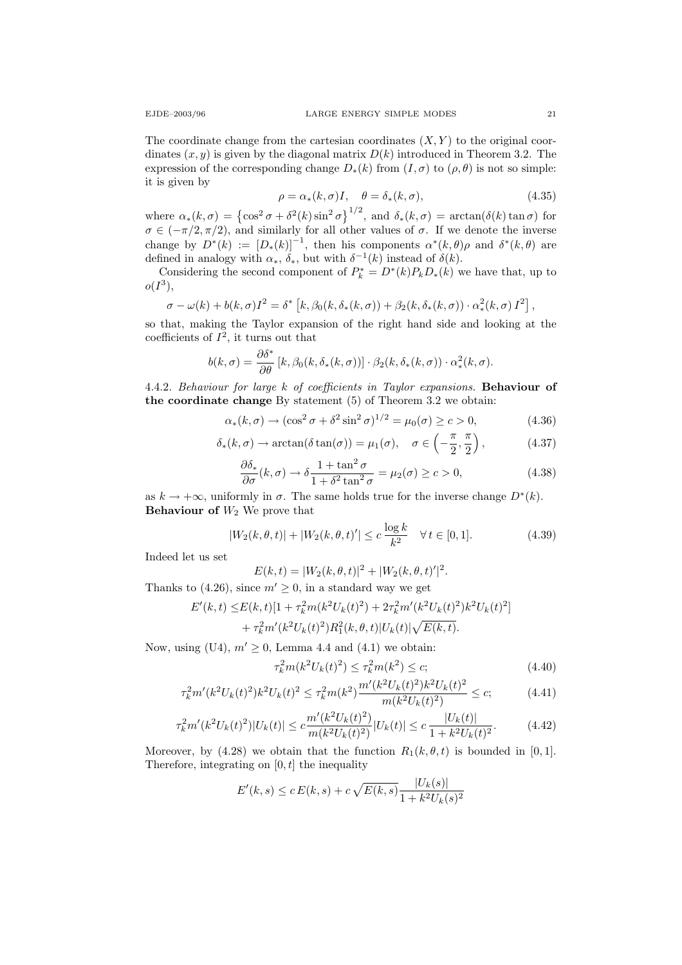The coordinate change from the cartesian coordinates  $(X, Y)$  to the original coordinates  $(x, y)$  is given by the diagonal matrix  $D(k)$  introduced in Theorem 3.2. The expression of the corresponding change  $D_*(k)$  from  $(I, \sigma)$  to  $(\rho, \theta)$  is not so simple: it is given by

$$
\rho = \alpha_*(k, \sigma)I, \quad \theta = \delta_*(k, \sigma), \tag{4.35}
$$

where  $\alpha_*(k,\sigma) = \left\{ \cos^2 \sigma + \delta^2(k) \sin^2 \sigma \right\}^{1/2}$ , and  $\delta_*(k,\sigma) = \arctan(\delta(k) \tan \sigma)$  for  $\sigma \in (-\pi/2, \pi/2)$ , and similarly for all other values of  $\sigma$ . If we denote the inverse change by  $D^*(k) := [D_*(k)]^{-1}$ , then his components  $\alpha^*(k, \theta)\rho$  and  $\delta^*(k, \theta)$  are defined in analogy with  $\alpha_*, \delta_*,$  but with  $\delta^{-1}(k)$  instead of  $\delta(k)$ .

Considering the second component of  $P_k^* = D^*(k)P_kD_*(k)$  we have that, up to  $o(I^3),$ 

$$
\sigma - \omega(k) + b(k, \sigma)I^2 = \delta^* [k, \beta_0(k, \delta_*(k, \sigma)) + \beta_2(k, \delta_*(k, \sigma)) \cdot \alpha_*^2(k, \sigma) I^2],
$$

so that, making the Taylor expansion of the right hand side and looking at the coefficients of  $I^2$ , it turns out that

$$
b(k,\sigma)=\frac{\partial \delta^*}{\partial \theta}\left[k,\beta_0(k,\delta_*(k,\sigma))\right]\cdot\beta_2(k,\delta_*(k,\sigma))\cdot\alpha_*^2(k,\sigma).
$$

4.4.2. Behaviour for large k of coefficients in Taylor expansions. Behaviour of the coordinate change By statement (5) of Theorem 3.2 we obtain:

$$
\alpha_*(k,\sigma) \to (\cos^2 \sigma + \delta^2 \sin^2 \sigma)^{1/2} = \mu_0(\sigma) \ge c > 0,
$$
\n(4.36)

$$
\delta_*(k,\sigma) \to \arctan(\delta \tan(\sigma)) = \mu_1(\sigma), \quad \sigma \in \left(-\frac{\pi}{2}, \frac{\pi}{2}\right), \tag{4.37}
$$

$$
\frac{\partial \delta_*}{\partial \sigma}(k,\sigma) \to \delta \frac{1 + \tan^2 \sigma}{1 + \delta^2 \tan^2 \sigma} = \mu_2(\sigma) \ge c > 0,
$$
\n(4.38)

as  $k \to +\infty$ , uniformly in  $\sigma$ . The same holds true for the inverse change  $D^*(k)$ . **Behaviour of**  $W_2$  We prove that

$$
|W_2(k, \theta, t)| + |W_2(k, \theta, t)'| \le c \frac{\log k}{k^2} \quad \forall \, t \in [0, 1]. \tag{4.39}
$$

Indeed let us set

$$
E(k,t) = |W_2(k,\theta,t)|^2 + |W_2(k,\theta,t)'|^2.
$$

Thanks to (4.26), since  $m' \geq 0$ , in a standard way we get

$$
E'(k,t) \leq E(k,t)[1 + \tau_k^2 m(k^2 U_k(t)^2) + 2\tau_k^2 m'(k^2 U_k(t)^2)k^2 U_k(t)^2] + \tau_k^2 m'(k^2 U_k(t)^2)R_1^2(k, \theta, t)|U_k(t)|\sqrt{E(k, t)}.
$$

Now, using (U4),  $m' \geq 0$ , Lemma 4.4 and (4.1) we obtain:

$$
\tau_k^2 m(k^2 U_k(t)^2) \le \tau_k^2 m(k^2) \le c; \tag{4.40}
$$

$$
\tau_k^2 m'(k^2 U_k(t)^2) k^2 U_k(t)^2 \le \tau_k^2 m(k^2) \frac{m'(k^2 U_k(t)^2) k^2 U_k(t)^2}{m(k^2 U_k(t)^2)} \le c; \tag{4.41}
$$

$$
\tau_k^2 m'(k^2 U_k(t)^2) |U_k(t)| \le c \frac{m'(k^2 U_k(t)^2)}{m(k^2 U_k(t)^2)} |U_k(t)| \le c \frac{|U_k(t)|}{1 + k^2 U_k(t)^2}.
$$
 (4.42)

Moreover, by (4.28) we obtain that the function  $R_1(k, \theta, t)$  is bounded in [0, 1]. Therefore, integrating on  $[0, t]$  the inequality

$$
E'(k, s) \le c E(k, s) + c \sqrt{E(k, s)} \frac{|U_k(s)|}{1 + k^2 U_k(s)^2}
$$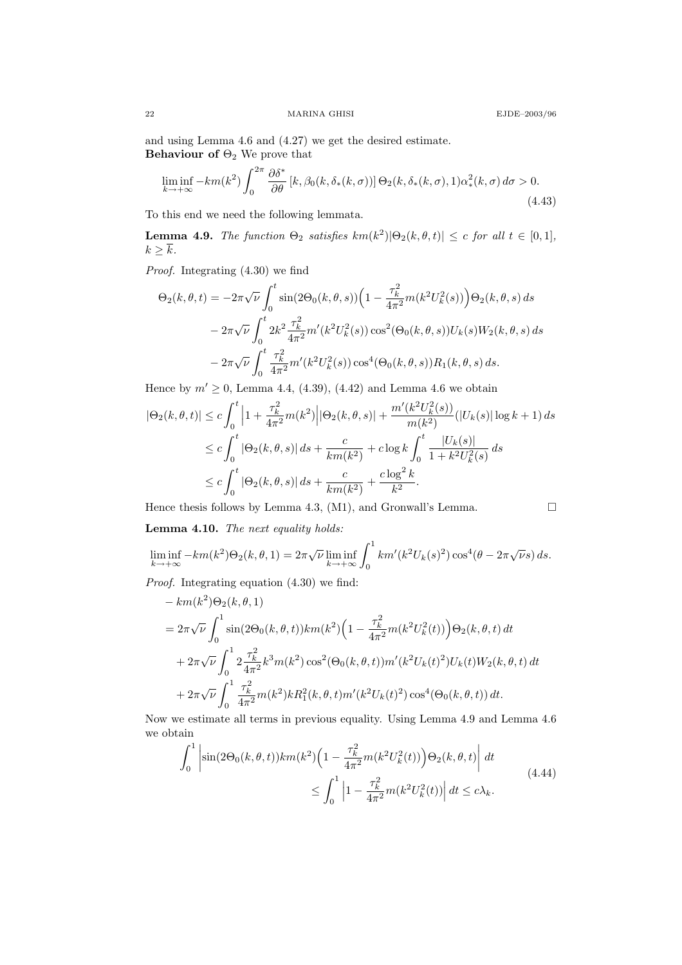and using Lemma 4.6 and (4.27) we get the desired estimate. Behaviour of  $\Theta_2$  We prove that

$$
\liminf_{k \to +\infty} -km(k^2) \int_0^{2\pi} \frac{\partial \delta^*}{\partial \theta} \left[ k, \beta_0(k, \delta_*(k, \sigma)) \right] \Theta_2(k, \delta_*(k, \sigma), 1) \alpha^2_*(k, \sigma) d\sigma > 0. \tag{4.43}
$$

To this end we need the following lemmata.

**Lemma 4.9.** The function  $\Theta_2$  satisfies  $km(k^2)|\Theta_2(k,\theta,t)| \leq c$  for all  $t \in [0,1],$  $k \geq \overline{k}$ .

Proof. Integrating (4.30) we find

$$
\Theta_2(k,\theta,t) = -2\pi\sqrt{\nu} \int_0^t \sin(2\Theta_0(k,\theta,s)) \left(1 - \frac{\tau_k^2}{4\pi^2} m(k^2 U_k^2(s))\right) \Theta_2(k,\theta,s) ds
$$
  

$$
-2\pi\sqrt{\nu} \int_0^t 2k^2 \frac{\tau_k^2}{4\pi^2} m'(k^2 U_k^2(s)) \cos^2(\Theta_0(k,\theta,s)) U_k(s) W_2(k,\theta,s) ds
$$
  

$$
-2\pi\sqrt{\nu} \int_0^t \frac{\tau_k^2}{4\pi^2} m'(k^2 U_k^2(s)) \cos^4(\Theta_0(k,\theta,s)) R_1(k,\theta,s) ds.
$$

Hence by  $m' \ge 0$ , Lemma 4.4, (4.39), (4.42) and Lemma 4.6 we obtain

$$
|\Theta_2(k,\theta,t)| \le c \int_0^t \left| 1 + \frac{\tau_k^2}{4\pi^2} m(k^2) \right| |\Theta_2(k,\theta,s)| + \frac{m'(k^2 U_k^2(s))}{m(k^2)} (|U_k(s)| \log k + 1) ds
$$
  
\n
$$
\le c \int_0^t |\Theta_2(k,\theta,s)| ds + \frac{c}{km(k^2)} + c \log k \int_0^t \frac{|U_k(s)|}{1 + k^2 U_k^2(s)} ds
$$
  
\n
$$
\le c \int_0^t |\Theta_2(k,\theta,s)| ds + \frac{c}{km(k^2)} + \frac{c \log^2 k}{k^2}.
$$

Hence thesis follows by Lemma 4.3, (M1), and Gronwall's Lemma.

$$
\square
$$

Lemma 4.10. The next equality holds:

$$
\liminf_{k \to +\infty} -km(k^2)\Theta_2(k,\theta,1) = 2\pi\sqrt{\nu}\liminf_{k \to +\infty} \int_0^1 km'(k^2U_k(s)^2)\cos^4(\theta - 2\pi\sqrt{\nu}s) ds.
$$

Proof. Integrating equation (4.30) we find:

$$
- km(k^{2})\Theta_{2}(k, \theta, 1)
$$
  
=  $2\pi\sqrt{\nu} \int_{0}^{1} \sin(2\Theta_{0}(k, \theta, t))km(k^{2}) \Big(1 - \frac{\tau_{k}^{2}}{4\pi^{2}}m(k^{2}U_{k}^{2}(t))\Big) \Theta_{2}(k, \theta, t) dt$   
+  $2\pi\sqrt{\nu} \int_{0}^{1} 2\frac{\tau_{k}^{2}}{4\pi^{2}}k^{3}m(k^{2})\cos^{2}(\Theta_{0}(k, \theta, t))m'(k^{2}U_{k}(t)^{2})U_{k}(t)W_{2}(k, \theta, t) dt$   
+  $2\pi\sqrt{\nu} \int_{0}^{1} \frac{\tau_{k}^{2}}{4\pi^{2}}m(k^{2})kR_{1}^{2}(k, \theta, t)m'(k^{2}U_{k}(t)^{2})\cos^{4}(\Theta_{0}(k, \theta, t)) dt.$ 

Now we estimate all terms in previous equality. Using Lemma 4.9 and Lemma 4.6 we obtain

$$
\int_0^1 \left| \sin(2\Theta_0(k,\theta,t))km(k^2) \left(1 - \frac{\tau_k^2}{4\pi^2}m(k^2U_k^2(t))\right) \Theta_2(k,\theta,t) \right| dt
$$
\n
$$
\leq \int_0^1 \left|1 - \frac{\tau_k^2}{4\pi^2}m(k^2U_k^2(t))\right| dt \leq c\lambda_k.
$$
\n(4.44)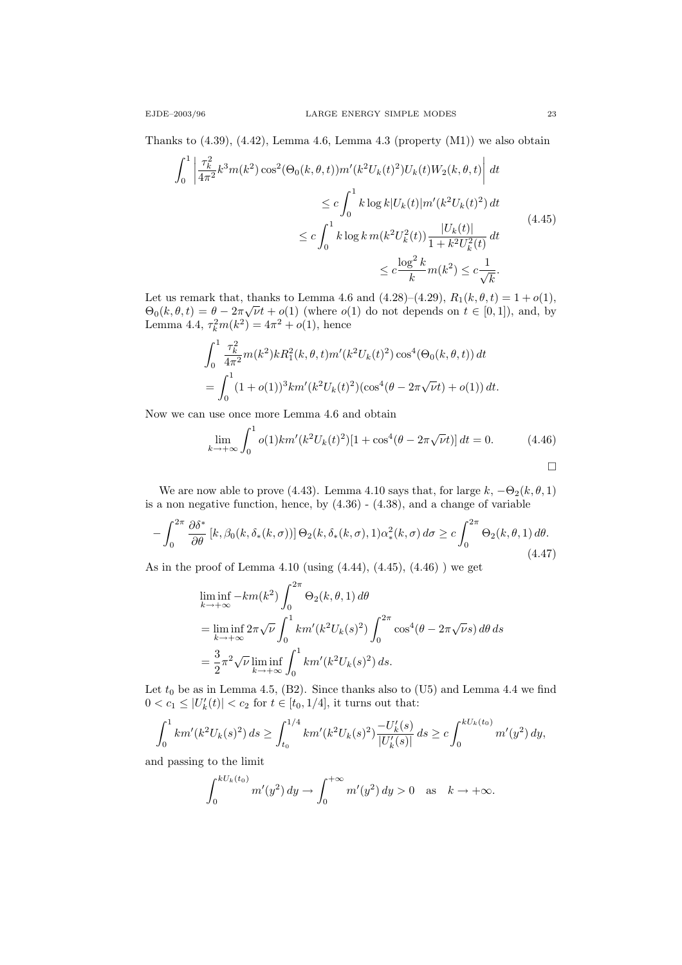Thanks to  $(4.39)$ ,  $(4.42)$ , Lemma 4.6, Lemma 4.3 (property  $(M1)$ ) we also obtain

$$
\int_{0}^{1} \left| \frac{\tau_{k}^{2}}{4\pi^{2}} k^{3} m(k^{2}) \cos^{2}(\Theta_{0}(k, \theta, t)) m'(k^{2} U_{k}(t)^{2}) U_{k}(t) W_{2}(k, \theta, t) \right| dt
$$
  
\n
$$
\leq c \int_{0}^{1} k \log k |U_{k}(t)| m'(k^{2} U_{k}(t)^{2}) dt
$$
  
\n
$$
\leq c \int_{0}^{1} k \log k m(k^{2} U_{k}^{2}(t)) \frac{|U_{k}(t)|}{1 + k^{2} U_{k}^{2}(t)} dt
$$
  
\n
$$
\leq c \frac{\log^{2} k}{k} m(k^{2}) \leq c \frac{1}{\sqrt{k}}.
$$
\n(4.45)

Let us remark that, thanks to Lemma 4.6 and (4.28)–(4.29),  $R_1(k, \theta, t) = 1 + o(1)$ , Let us remark that, thanks to Lemma 4.0 and (4.20)–(4.29),  $R_1(\kappa, \theta, t) = 1 + o(1)$ ,<br> $\Theta_0(k, \theta, t) = \theta - 2\pi\sqrt{\nu}t + o(1)$  (where  $o(1)$  do not depends on  $t \in [0, 1]$ ), and, by Lemma 4.4,  $\tau_k^2 m(k^2) = 4\pi^2 + o(1)$ , hence

$$
\int_0^1 \frac{\tau_k^2}{4\pi^2} m(k^2) k R_1^2(k, \theta, t) m'(k^2 U_k(t)^2) \cos^4(\Theta_0(k, \theta, t)) dt
$$
  
= 
$$
\int_0^1 (1 + o(1))^3 k m'(k^2 U_k(t)^2) (\cos^4(\theta - 2\pi \sqrt{\nu} t) + o(1)) dt.
$$

Now we can use once more Lemma 4.6 and obtain

$$
\lim_{k \to +\infty} \int_0^1 o(1)km'(k^2 U_k(t)^2)[1 + \cos^4(\theta - 2\pi \sqrt{\nu}t)] dt = 0.
$$
 (4.46)

We are now able to prove (4.43). Lemma 4.10 says that, for large  $k, -\Theta_2(k, \theta, 1)$ is a non negative function, hence, by  $(4.36)$  -  $(4.38)$ , and a change of variable

$$
-\int_0^{2\pi} \frac{\partial \delta^*}{\partial \theta} \left[ k, \beta_0(k, \delta_*(k, \sigma)) \right] \Theta_2(k, \delta_*(k, \sigma), 1) \alpha^2_*(k, \sigma) d\sigma \ge c \int_0^{2\pi} \Theta_2(k, \theta, 1) d\theta. \tag{4.47}
$$

As in the proof of Lemma 4.10 (using (4.44), (4.45), (4.46) ) we get

$$
\liminf_{k \to +\infty} -km(k^2) \int_0^{2\pi} \Theta_2(k,\theta,1) d\theta
$$
  
= 
$$
\liminf_{k \to +\infty} 2\pi \sqrt{\nu} \int_0^1 km'(k^2 U_k(s)^2) \int_0^{2\pi} \cos^4(\theta - 2\pi \sqrt{\nu} s) d\theta ds
$$
  
= 
$$
\frac{3}{2} \pi^2 \sqrt{\nu} \liminf_{k \to +\infty} \int_0^1 km'(k^2 U_k(s)^2) ds.
$$

Let  $t_0$  be as in Lemma 4.5, (B2). Since thanks also to (U5) and Lemma 4.4 we find  $0 < c_1 \leq |U'_k(t)| < c_2$  for  $t \in [t_0, 1/4]$ , it turns out that:

$$
\int_0^1 km'(k^2 U_k(s)^2) ds \ge \int_{t_0}^{1/4} km'(k^2 U_k(s)^2) \frac{-U'_k(s)}{|U'_k(s)|} ds \ge c \int_0^{kU_k(t_0)} m'(y^2) dy,
$$

and passing to the limit

$$
\int_0^{kU_k(t_0)} m'(y^2) \, dy \to \int_0^{+\infty} m'(y^2) \, dy > 0 \quad \text{as} \quad k \to +\infty.
$$